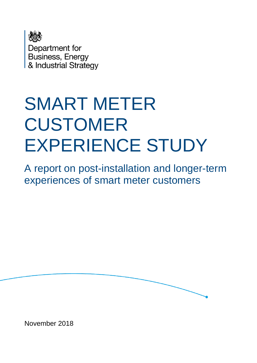

Department for Business, Energy & Industrial Strategy

# SMART METER CUSTOMER EXPERIENCE STUDY

A report on post-installation and longer-term experiences of smart meter customers

November 2018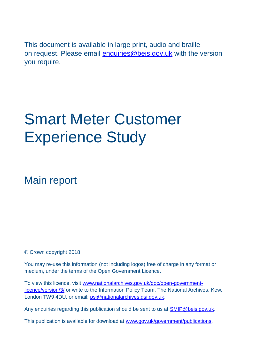This document is available in large print, audio and braille on request. Please email [enquiries@beis.gov.uk](mailto:enquiries@beis.gov.uk) with the version you require.

# Smart Meter Customer Experience Study

Main report

© Crown copyright 2018

You may re-use this information (not including logos) free of charge in any format or medium, under the terms of the Open Government Licence.

To view this licence, visit [www.nationalarchives.gov.uk/doc/open-government](http://www.nationalarchives.gov.uk/doc/open-government-licence/version/3/)[licence/version/3/](http://www.nationalarchives.gov.uk/doc/open-government-licence/version/3/) or write to the Information Policy Team, The National Archives, Kew, London TW9 4DU, or email: [psi@nationalarchives.gsi.gov.uk.](mailto:psi@nationalarchives.gsi.gov.uk)

Any enquiries regarding this publication should be sent to us at [SMIP@beis.gov.uk.](mailto:SMIP@beis.gov.uk)

This publication is available for download at [www.gov.uk/government/publications.](http://www.gov.uk/government/publications)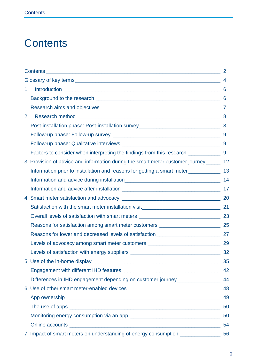# <span id="page-2-0"></span>**Contents**

|                                                                                          | $\overline{2}$ |
|------------------------------------------------------------------------------------------|----------------|
|                                                                                          |                |
| 1.                                                                                       | 6              |
|                                                                                          |                |
|                                                                                          |                |
| 2.                                                                                       |                |
|                                                                                          |                |
|                                                                                          |                |
|                                                                                          |                |
|                                                                                          |                |
| 3. Provision of advice and information during the smart meter customer journey ______ 12 |                |
| Information prior to installation and reasons for getting a smart meter _________        | 13             |
|                                                                                          |                |
|                                                                                          |                |
|                                                                                          |                |
|                                                                                          |                |
|                                                                                          |                |
| Reasons for satisfaction among smart meter customers ____________________________ 25     |                |
|                                                                                          |                |
| Levels of advocacy among smart meter customers _________________________________ 29      |                |
|                                                                                          |                |
|                                                                                          | 35             |
|                                                                                          | 42             |
| Differences in IHD engagement depending on customer journey________________              | 44             |
|                                                                                          | 48             |
|                                                                                          | 49             |
|                                                                                          |                |
|                                                                                          |                |
|                                                                                          | 54             |
| 7. Impact of smart meters on understanding of energy consumption ________________ 56     |                |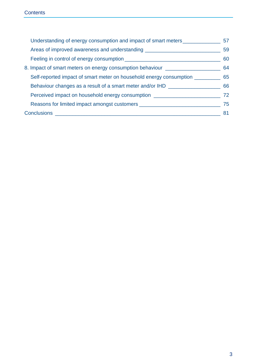| Understanding of energy consumption and impact of smart meters ________________  | 57 |
|----------------------------------------------------------------------------------|----|
| Areas of improved awareness and understanding __________________________________ | 59 |
|                                                                                  | 60 |
| 8. Impact of smart meters on energy consumption behaviour ______________________ | 64 |
| Self-reported impact of smart meter on household energy consumption              | 65 |
| Behaviour changes as a result of a smart meter and/or IHD                        | 66 |
| Perceived impact on household energy consumption _______________________________ | 72 |
| Reasons for limited impact amongst customers ___________________________________ | 75 |
|                                                                                  | 81 |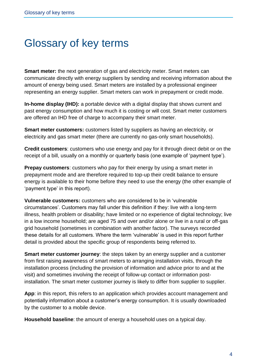# <span id="page-4-0"></span>Glossary of key terms

**Smart meter:** the next generation of gas and electricity meter. Smart meters can communicate directly with energy suppliers by sending and receiving information about the amount of energy being used. Smart meters are installed by a professional engineer representing an energy supplier. Smart meters can work in prepayment or credit mode.

**In-home display (IHD):** a portable device with a digital display that shows current and past energy consumption and how much it is costing or will cost. Smart meter customers are offered an IHD free of charge to accompany their smart meter.

**Smart meter customers:** customers listed by suppliers as having an electricity, or electricity and gas smart meter (there are currently no gas-only smart households).

**Credit customers**: customers who use energy and pay for it through direct debit or on the receipt of a bill, usually on a monthly or quarterly basis (one example of 'payment type').

**Prepay customers**: customers who pay for their energy by using a smart meter in prepayment mode and are therefore required to top-up their credit balance to ensure energy is available to their home before they need to use the energy (the other example of 'payment type' in this report).

**Vulnerable customers:** customers who are considered to be in 'vulnerable circumstances'. Customers may fall under this definition if they: live with a long-term illness, health problem or disability; have limited or no experience of digital technology; live in a low income household; are aged 75 and over and/or alone or live in a rural or off-gas grid household (sometimes in combination with another factor). The surveys recorded these details for all customers. Where the term 'vulnerable' is used in this report further detail is provided about the specific group of respondents being referred to.

**Smart meter customer journey**: the steps taken by an energy supplier and a customer from first raising awareness of smart meters to arranging installation visits, through the installation process (including the provision of information and advice prior to and at the visit) and sometimes involving the receipt of follow-up contact or information postinstallation. The smart meter customer journey is likely to differ from supplier to supplier.

**App**: in this report, this refers to an application which provides account management and potentially information about a customer's energy consumption. It is usually downloaded by the customer to a mobile device.

**Household baseline**: the amount of energy a household uses on a typical day.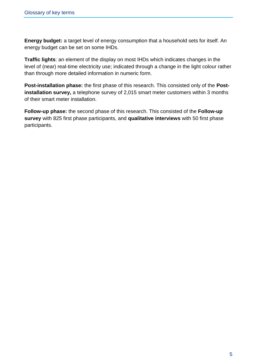**Energy budget:** a target level of energy consumption that a household sets for itself. An energy budget can be set on some IHDs.

**Traffic lights**: an element of the display on most IHDs which indicates changes in the level of (near) real-time electricity use; indicated through a change in the light colour rather than through more detailed information in numeric form.

**Post-installation phase:** the first phase of this research. This consisted only of the **Postinstallation survey,** a telephone survey of 2,015 smart meter customers within 3 months of their smart meter installation.

**Follow-up phase:** the second phase of this research. This consisted of the **Follow-up survey** with 825 first phase participants, and **qualitative interviews** with 50 first phase participants.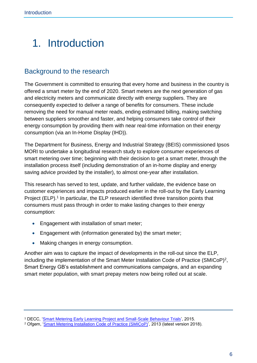# <span id="page-6-0"></span>1. Introduction

# <span id="page-6-1"></span>Background to the research

The Government is committed to ensuring that every home and business in the country is offered a smart meter by the end of 2020. Smart meters are the next generation of gas and electricity meters and communicate directly with energy suppliers. They are consequently expected to deliver a range of benefits for consumers. These include removing the need for manual meter reads, ending estimated billing, making switching between suppliers smoother and faster, and helping consumers take control of their energy consumption by providing them with near real-time information on their energy consumption (via an In-Home Display (IHD)).

The Department for Business, Energy and Industrial Strategy (BEIS) commissioned Ipsos MORI to undertake a longitudinal research study to explore consumer experiences of smart metering over time; beginning with their decision to get a smart meter, through the installation process itself (including demonstration of an in-home display and energy saving advice provided by the installer), to almost one-year after installation.

This research has served to test, update, and further validate, the evidence base on customer experiences and impacts produced earlier in the roll-out by the Early Learning Project (ELP).<sup>1</sup> In particular, the ELP research identified three transition points that consumers must pass through in order to make lasting changes to their energy consumption:

- Engagement with installation of smart meter;
- Engagement with (information generated by) the smart meter;
- Making changes in energy consumption.

Another aim was to capture the impact of developments in the roll-out since the ELP, including the implementation of the Smart Meter Installation Code of Practice (SMICoP)<sup>2</sup>, Smart Energy GB's establishment and communications campaigns, and an expanding smart meter population, with smart prepay meters now being rolled out at scale.

<sup>1</sup> DECC, ['Smart Metering Early Learning Project and Small-Scale Behaviour Trials',](https://www.gov.uk/government/publications/smart-metering-early-learning-project-and-small-scale-behaviour-trials) 2015.

<sup>2</sup> Ofgem, ['Smart Metering Installation Code of Practice \(SMICoP\)'](http://www.smicop.co.uk/SitePages/Home.aspx), 2013 (latest version 2018).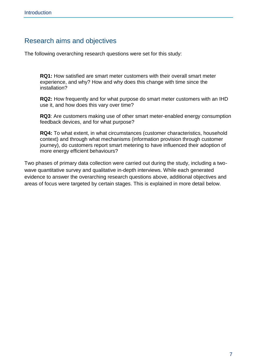# <span id="page-7-0"></span>Research aims and objectives

The following overarching research questions were set for this study:

**RQ1:** How satisfied are smart meter customers with their overall smart meter experience, and why? How and why does this change with time since the installation?

**RQ2:** How frequently and for what purpose do smart meter customers with an IHD use it, and how does this vary over time?

**RQ3**: Are customers making use of other smart meter-enabled energy consumption feedback devices, and for what purpose?

**RQ4:** To what extent, in what circumstances (customer characteristics, household context) and through what mechanisms (information provision through customer journey), do customers report smart metering to have influenced their adoption of more energy efficient behaviours?

Two phases of primary data collection were carried out during the study, including a twowave quantitative survey and qualitative in-depth interviews. While each generated evidence to answer the overarching research questions above, additional objectives and areas of focus were targeted by certain stages. This is explained in more detail below.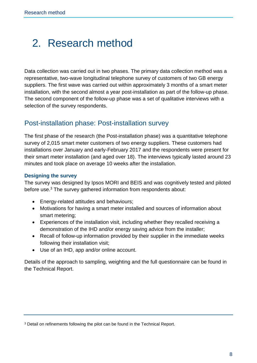# <span id="page-8-0"></span>2. Research method

Data collection was carried out in two phases. The primary data collection method was a representative, two-wave longitudinal telephone survey of customers of two GB energy suppliers. The first wave was carried out within approximately 3 months of a smart meter installation, with the second almost a year post-installation as part of the follow-up phase. The second component of the follow-up phase was a set of qualitative interviews with a selection of the survey respondents.

# <span id="page-8-1"></span>Post-installation phase: Post-installation survey

The first phase of the research (the Post-installation phase) was a quantitative telephone survey of 2,015 smart meter customers of two energy suppliers. These customers had installations over January and early-February 2017 and the respondents were present for their smart meter installation (and aged over 18). The interviews typically lasted around 23 minutes and took place on average 10 weeks after the installation.

#### **Designing the survey**

The survey was designed by Ipsos MORI and BEIS and was cognitively tested and piloted before use. <sup>3</sup> The survey gathered information from respondents about:

- Energy-related attitudes and behaviours;
- Motivations for having a smart meter installed and sources of information about smart metering;
- Experiences of the installation visit, including whether they recalled receiving a demonstration of the IHD and/or energy saving advice from the installer;
- Recall of follow-up information provided by their supplier in the immediate weeks following their installation visit;
- Use of an IHD, app and/or online account.

Details of the approach to sampling, weighting and the full questionnaire can be found in the Technical Report.

<sup>3</sup> Detail on refinements following the pilot can be found in the Technical Report.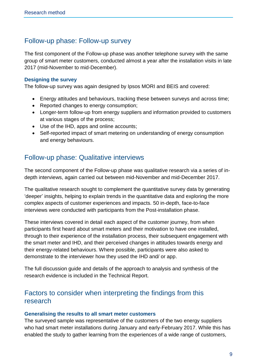# <span id="page-9-0"></span>Follow-up phase: Follow-up survey

The first component of the Follow-up phase was another telephone survey with the same group of smart meter customers, conducted almost a year after the installation visits in late 2017 (mid-November to mid-December).

#### **Designing the survey**

The follow-up survey was again designed by Ipsos MORI and BEIS and covered:

- Energy attitudes and behaviours, tracking these between surveys and across time;
- Reported changes to energy consumption;
- Longer-term follow-up from energy suppliers and information provided to customers at various stages of the process;
- Use of the IHD, apps and online accounts;
- Self-reported impact of smart metering on understanding of energy consumption and energy behaviours.

# <span id="page-9-1"></span>Follow-up phase: Qualitative interviews

The second component of the Follow-up phase was qualitative research via a series of indepth interviews, again carried out between mid-November and mid-December 2017.

The qualitative research sought to complement the quantitative survey data by generating 'deeper' insights, helping to explain trends in the quantitative data and exploring the more complex aspects of customer experiences and impacts. 50 in-depth, face-to-face interviews were conducted with participants from the Post-installation phase.

These interviews covered in detail each aspect of the customer journey, from when participants first heard about smart meters and their motivation to have one installed, through to their experience of the installation process, their subsequent engagement with the smart meter and IHD, and their perceived changes in attitudes towards energy and their energy-related behaviours. Where possible, participants were also asked to demonstrate to the interviewer how they used the IHD and/ or app.

The full discussion guide and details of the approach to analysis and synthesis of the research evidence is included in the Technical Report.

# <span id="page-9-2"></span>Factors to consider when interpreting the findings from this research

#### **Generalising the results to all smart meter customers**

The surveyed sample was representative of the customers of the two energy suppliers who had smart meter installations during January and early-February 2017. While this has enabled the study to gather learning from the experiences of a wide range of customers,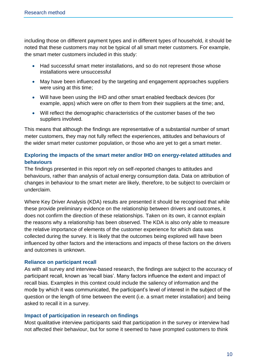including those on different payment types and in different types of household, it should be noted that these customers may not be typical of all smart meter customers. For example, the smart meter customers included in this study:

- Had successful smart meter installations, and so do not represent those whose installations were unsuccessful
- May have been influenced by the targeting and engagement approaches suppliers were using at this time;
- Will have been using the IHD and other smart enabled feedback devices (for example, apps) which were on offer to them from their suppliers at the time; and,
- Will reflect the demographic characteristics of the customer bases of the two suppliers involved.

This means that although the findings are representative of a substantial number of smart meter customers, they may not fully reflect the experiences, attitudes and behaviours of the wider smart meter customer population, or those who are yet to get a smart meter.

#### **Exploring the impacts of the smart meter and/or IHD on energy-related attitudes and behaviours**

The findings presented in this report rely on self-reported changes to attitudes and behaviours, rather than analysis of actual energy consumption data. Data on attribution of changes in behaviour to the smart meter are likely, therefore, to be subject to overclaim or underclaim.

Where Key Driver Analysis (KDA) results are presented it should be recognised that while these provide preliminary evidence on the relationship between drivers and outcomes, it does not confirm the direction of these relationships. Taken on its own, it cannot explain the reasons why a relationship has been observed. The KDA is also only able to measure the relative importance of elements of the customer experience for which data was collected during the survey. It is likely that the outcomes being explored will have been influenced by other factors and the interactions and impacts of these factors on the drivers and outcomes is unknown.

#### **Reliance on participant recall**

As with all survey and interview-based research, the findings are subject to the accuracy of participant recall, known as 'recall bias'. Many factors influence the extent and impact of recall bias. Examples in this context could include the saliency of information and the mode by which it was communicated, the participant's level of interest in the subject of the question or the length of time between the event (i.e. a smart meter installation) and being asked to recall it in a survey.

#### **Impact of participation in research on findings**

Most qualitative interview participants said that participation in the survey or interview had not affected their behaviour, but for some it seemed to have prompted customers to think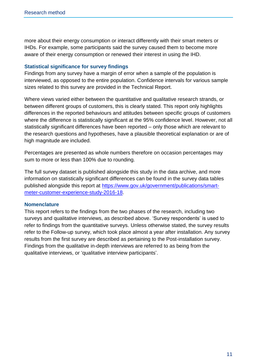more about their energy consumption or interact differently with their smart meters or IHDs. For example, some participants said the survey caused them to become more aware of their energy consumption or renewed their interest in using the IHD.

#### **Statistical significance for survey findings**

Findings from any survey have a margin of error when a sample of the population is interviewed, as opposed to the entire population. Confidence intervals for various sample sizes related to this survey are provided in the Technical Report.

Where views varied either between the quantitative and qualitative research strands, or between different groups of customers, this is clearly stated. This report only highlights differences in the reported behaviours and attitudes between specific groups of customers where the difference is statistically significant at the 95% confidence level. However, not all statistically significant differences have been reported – only those which are relevant to the research questions and hypotheses, have a plausible theoretical explanation or are of high magnitude are included.

Percentages are presented as whole numbers therefore on occasion percentages may sum to more or less than 100% due to rounding.

The full survey dataset is published alongside this study in the data archive, and more information on statistically significant differences can be found in the survey data tables published alongside this report at [https://www.gov.uk/government/publications/smart](https://www.gov.uk/government/publications/smart-meter-customer-experience-study-2016-18)[meter-customer-experience-study-2016-18.](https://www.gov.uk/government/publications/smart-meter-customer-experience-study-2016-18)

#### **Nomenclature**

This report refers to the findings from the two phases of the research, including two surveys and qualitative interviews, as described above. 'Survey respondents' is used to refer to findings from the quantitative surveys. Unless otherwise stated, the survey results refer to the Follow-up survey, which took place almost a year after installation. Any survey results from the first survey are described as pertaining to the Post-installation survey. Findings from the qualitative in-depth interviews are referred to as being from the qualitative interviews, or 'qualitative interview participants'.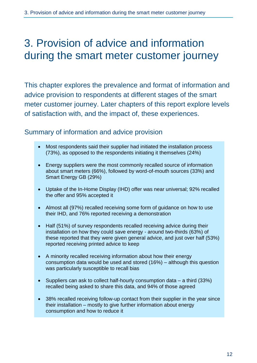# <span id="page-12-0"></span>3. Provision of advice and information during the smart meter customer journey

This chapter explores the prevalence and format of information and advice provision to respondents at different stages of the smart meter customer journey. Later chapters of this report explore levels of satisfaction with, and the impact of, these experiences.

# Summary of information and advice provision

- Most respondents said their supplier had initiated the installation process (73%), as opposed to the respondents initiating it themselves (24%)
- Energy suppliers were the most commonly recalled source of information about smart meters (66%), followed by word-of-mouth sources (33%) and Smart Energy GB (29%)
- Uptake of the In-Home Display (IHD) offer was near universal; 92% recalled the offer and 95% accepted it
- Almost all (97%) recalled receiving some form of guidance on how to use their IHD, and 76% reported receiving a demonstration
- Half (51%) of survey respondents recalled receiving advice during their installation on how they could save energy - around two-thirds (63%) of these reported that they were given general advice, and just over half (53%) reported receiving printed advice to keep
- A minority recalled receiving information about how their energy consumption data would be used and stored (16%) – although this question was particularly susceptible to recall bias
- Suppliers can ask to collect half-hourly consumption data a third (33%) recalled being asked to share this data, and 94% of those agreed
- 38% recalled receiving follow-up contact from their supplier in the year since their installation – mostly to give further information about energy consumption and how to reduce it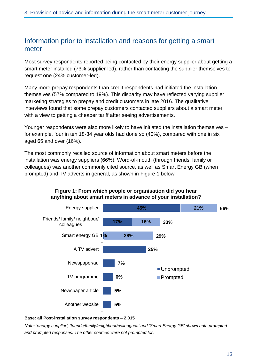# <span id="page-13-0"></span>Information prior to installation and reasons for getting a smart meter

Most survey respondents reported being contacted by their energy supplier about getting a smart meter installed (73% supplier-led), rather than contacting the supplier themselves to request one (24% customer-led).

Many more prepay respondents than credit respondents had initiated the installation themselves (57% compared to 19%). This disparity may have reflected varying supplier marketing strategies to prepay and credit customers in late 2016. The qualitative interviews found that some prepay customers contacted suppliers about a smart meter with a view to getting a cheaper tariff after seeing advertisements.

Younger respondents were also more likely to have initiated the installation themselves – for example, four in ten 18-34 year olds had done so (40%), compared with one in six aged 65 and over (16%).

The most commonly recalled source of information about smart meters before the installation was energy suppliers (66%). Word-of-mouth (through friends, family or colleagues) was another commonly cited source, as well as Smart Energy GB (when prompted) and TV adverts in general, as shown in Figure 1 below.



#### **Figure 1: From which people or organisation did you hear anything about smart meters in advance of your installation?**

#### **Base: all Post-installation survey respondents – 2,015**

*Note: 'energy supplier', 'friends/family/neighbour/colleagues' and 'Smart Energy GB' shows both prompted and prompted responses. The other sources were not prompted for.*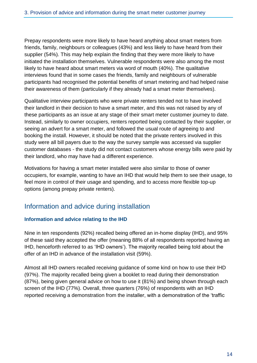Prepay respondents were more likely to have heard anything about smart meters from friends, family, neighbours or colleagues (43%) and less likely to have heard from their supplier (54%). This may help explain the finding that they were more likely to have initiated the installation themselves. Vulnerable respondents were also among the most likely to have heard about smart meters via word of mouth (40%). The qualitative interviews found that in some cases the friends, family and neighbours of vulnerable participants had recognised the potential benefits of smart metering and had helped raise their awareness of them (particularly if they already had a smart meter themselves).

Qualitative interview participants who were private renters tended not to have involved their landlord in their decision to have a smart meter, and this was not raised by any of these participants as an issue at any stage of their smart meter customer journey to date. Instead, similarly to owner occupiers, renters reported being contacted by their supplier, or seeing an advert for a smart meter, and followed the usual route of agreeing to and booking the install. However, it should be noted that the private renters involved in this study were all bill payers due to the way the survey sample was accessed via supplier customer databases - the study did not contact customers whose energy bills were paid by their landlord, who may have had a different experience.

Motivations for having a smart meter installed were also similar to those of owner occupiers, for example, wanting to have an IHD that would help them to see their usage, to feel more in control of their usage and spending, and to access more flexible top-up options (among prepay private renters).

# <span id="page-14-0"></span>Information and advice during installation

#### **Information and advice relating to the IHD**

Nine in ten respondents (92%) recalled being offered an in-home display (IHD), and 95% of these said they accepted the offer (meaning 88% of all respondents reported having an IHD, henceforth referred to as 'IHD owners'). The majority recalled being told about the offer of an IHD in advance of the installation visit (59%).

Almost all IHD owners recalled receiving guidance of some kind on how to use their IHD (97%). The majority recalled being given a booklet to read during their demonstration (87%), being given general advice on how to use it (81%) and being shown through each screen of the IHD (77%). Overall, three quarters (76%) of respondents with an IHD reported receiving a demonstration from the installer, with a demonstration of the 'traffic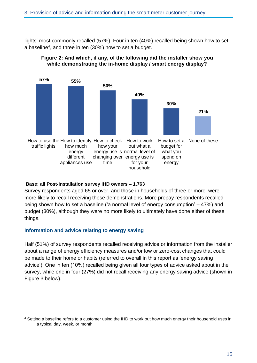lights' most commonly recalled (57%). Four in ten (40%) recalled being shown how to set a baseline<sup>4</sup>, and three in ten (30%) how to set a budget.





#### **Base: all Post-installation survey IHD owners – 1,763**

Survey respondents aged 65 or over, and those in households of three or more, were more likely to recall receiving these demonstrations. More prepay respondents recalled being shown how to set a baseline ('a normal level of energy consumption' – 47%) and budget (30%), although they were no more likely to ultimately have done either of these things.

#### **Information and advice relating to energy saving**

Half (51%) of survey respondents recalled receiving advice or information from the installer about a range of energy efficiency measures and/or low or zero-cost changes that could be made to their home or habits (referred to overall in this report as 'energy saving advice'). One in ten (10%) recalled being given all four types of advice asked about in the survey, while one in four (27%) did not recall receiving any energy saving advice (shown in Figure 3 below).

<sup>4</sup> Setting a baseline refers to a customer using the IHD to work out how much energy their household uses in a typical day, week, or month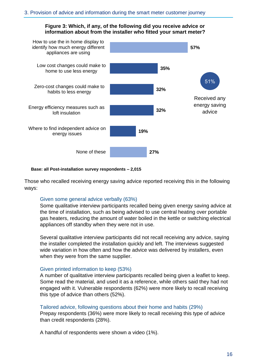#### **Figure 3: Which, if any, of the following did you receive advice or information about from the installer who fitted your smart meter?**



#### **Base: all Post-installation survey respondents – 2,015**

Those who recalled receiving energy saving advice reported receiving this in the following ways:

#### Given some general advice verbally (63%)

Some qualitative interview participants recalled being given energy saving advice at the time of installation, such as being advised to use central heating over portable gas heaters, reducing the amount of water boiled in the kettle or switching electrical appliances off standby when they were not in use.

Several qualitative interview participants did not recall receiving any advice, saying the installer completed the installation quickly and left. The interviews suggested wide variation in how often and how the advice was delivered by installers, even when they were from the same supplier.

#### Given printed information to keep (53%)

A number of qualitative interview participants recalled being given a leaflet to keep. Some read the material, and used it as a reference, while others said they had not engaged with it. Vulnerable respondents (62%) were more likely to recall receiving this type of advice than others (52%).

#### Tailored advice, following questions about their home and habits (29%)

Prepay respondents (36%) were more likely to recall receiving this type of advice than credit respondents (28%).

A handful of respondents were shown a video (1%).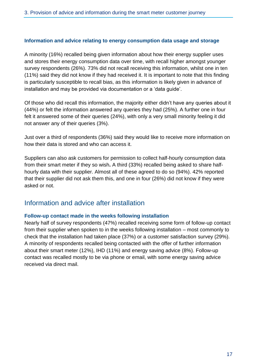#### **Information and advice relating to energy consumption data usage and storage**

A minority (16%) recalled being given information about how their energy supplier uses and stores their energy consumption data over time, with recall higher amongst younger survey respondents (26%). 73% did not recall receiving this information, whilst one in ten (11%) said they did not know if they had received it. It is important to note that this finding is particularly susceptible to recall bias, as this information is likely given in advance of installation and may be provided via documentation or a 'data guide'.

Of those who did recall this information, the majority either didn't have any queries about it (44%) or felt the information answered any queries they had (25%). A further one in four felt it answered some of their queries (24%), with only a very small minority feeling it did not answer any of their queries (3%).

Just over a third of respondents (36%) said they would like to receive more information on how their data is stored and who can access it.

Suppliers can also ask customers for permission to collect half-hourly consumption data from their smart meter if they so wish**.** A third (33%) recalled being asked to share halfhourly data with their supplier. Almost all of these agreed to do so (94%). 42% reported that their supplier did not ask them this, and one in four (26%) did not know if they were asked or not.

### <span id="page-17-0"></span>Information and advice after installation

#### **Follow-up contact made in the weeks following installation**

Nearly half of survey respondents (47%) recalled receiving some form of follow-up contact from their supplier when spoken to in the weeks following installation – most commonly to check that the installation had taken place (37%) or a customer satisfaction survey (29%). A minority of respondents recalled being contacted with the offer of further information about their smart meter (12%), IHD (11%) and energy saving advice (8%). Follow-up contact was recalled mostly to be via phone or email, with some energy saving advice received via direct mail.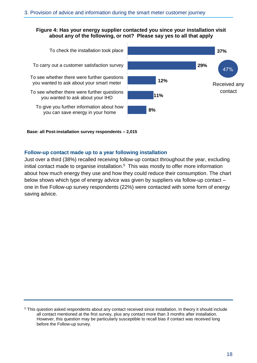#### **Figure 4: Has your energy supplier contacted you since your installation visit about any of the following, or not? Please say yes to all that apply**





**Base: all Post-installation survey respondents – 2,015**

#### **Follow-up contact made up to a year following installation**

Just over a third (38%) recalled receiving follow-up contact throughout the year, excluding initial contact made to organise installation. <sup>5</sup> This was mostly to offer more information about how much energy they use and how they could reduce their consumption. The chart below shows which type of energy advice was given by suppliers via follow-up contact – one in five Follow-up survey respondents (22%) were contacted with some form of energy saving advice.

<sup>5</sup> This question asked respondents about any contact received since installation. In theory it should include all contact mentioned at the first survey, plus any contact more than 3 months after installation. However, this question may be particularly susceptible to recall bias if contact was received long before the Follow-up survey.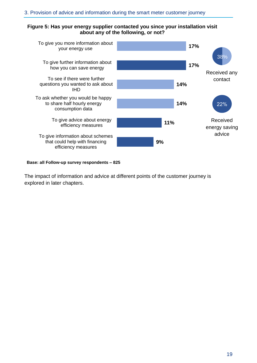#### **Figure 5: Has your energy supplier contacted you since your installation visit about any of the following, or not?**



#### **Base: all Follow-up survey respondents – 825**

The impact of information and advice at different points of the customer journey is explored in later chapters.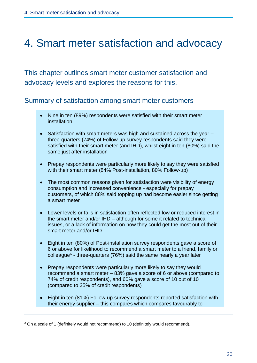# <span id="page-20-0"></span>4. Smart meter satisfaction and advocacy

This chapter outlines smart meter customer satisfaction and advocacy levels and explores the reasons for this.

### Summary of satisfaction among smart meter customers

- Nine in ten (89%) respondents were satisfied with their smart meter installation
- Satisfaction with smart meters was high and sustained across the year three-quarters (74%) of Follow-up survey respondents said they were satisfied with their smart meter (and IHD), whilst eight in ten (80%) said the same just after installation
- Prepay respondents were particularly more likely to say they were satisfied with their smart meter (84% Post-installation, 80% Follow-up)
- The most common reasons given for satisfaction were visibility of energy consumption and increased convenience - especially for prepay customers, of which 88% said topping up had become easier since getting a smart meter
- Lower levels or falls in satisfaction often reflected low or reduced interest in the smart meter and/or IHD – although for some it related to technical issues, or a lack of information on how they could get the most out of their smart meter and/or IHD
- Eight in ten (80%) of Post-installation survey respondents gave a score of 6 or above for likelihood to recommend a smart meter to a friend, family or colleague<sup>6</sup> - three-quarters (76%) said the same nearly a year later
- Prepay respondents were particularly more likely to say they would recommend a smart meter – 83% gave a score of 6 or above (compared to 74% of credit respondents), and 60% gave a score of 10 out of 10 (compared to 35% of credit respondents)
- Eight in ten (81%) Follow-up survey respondents reported satisfaction with their energy supplier – this compares which compares favourably to

<sup>&</sup>lt;sup>6</sup> On a scale of 1 (definitely would not recommend) to 10 (definitely would recommend).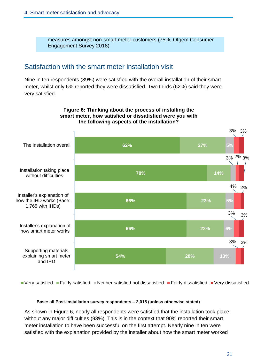measures amongst non-smart meter customers (75%, Ofgem Consumer Engagement Survey 2018)

### <span id="page-21-0"></span>Satisfaction with the smart meter installation visit

Nine in ten respondents (89%) were satisfied with the overall installation of their smart meter, whilst only 6% reported they were dissatisfied. Two thirds (62%) said they were very satisfied.



Very satisfied Fairly satisfied Neither satisfied not dissatisfied Fairly dissatisfied Very dissatisfied

#### **Base: all Post-installation survey respondents – 2,015 (unless otherwise stated)**

As shown in Figure 6, nearly all respondents were satisfied that the installation took place without any major difficulties (93%). This is in the context that 90% reported their smart meter installation to have been successful on the first attempt. Nearly nine in ten were satisfied with the explanation provided by the installer about how the smart meter worked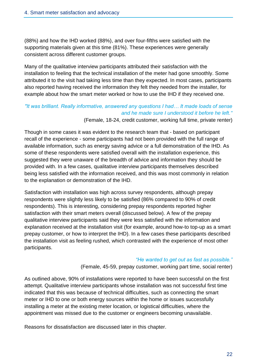(88%) and how the IHD worked (88%), and over four-fifths were satisfied with the supporting materials given at this time (81%). These experiences were generally consistent across different customer groups.

Many of the qualitative interview participants attributed their satisfaction with the installation to feeling that the technical installation of the meter had gone smoothly. Some attributed it to the visit had taking less time than they expected. In most cases, participants also reported having received the information they felt they needed from the installer, for example about how the smart meter worked or how to use the IHD if they received one.

#### *"It was brilliant. Really informative, answered any questions I had… It made loads of sense and he made sure I understood it before he left."* (Female, 18-24, credit customer, working full time, private renter)

Though in some cases it was evident to the research team that - based on participant recall of the experience - some participants had not been provided with the full range of available information, such as energy saving advice or a full demonstration of the IHD. As some of these respondents were satisfied overall with the installation experience, this suggested they were unaware of the breadth of advice and information they should be provided with. In a few cases, qualitative interview participants themselves described being less satisfied with the information received, and this was most commonly in relation to the explanation or demonstration of the IHD.

Satisfaction with installation was high across survey respondents, although prepay respondents were slightly less likely to be satisfied (86% compared to 90% of credit respondents). This is interesting, considering prepay respondents reported higher satisfaction with their smart meters overall (discussed below). A few of the prepay qualitative interview participants said they were less satisfied with the information and explanation received at the installation visit (for example, around how-to top-up as a smart prepay customer, or how to interpret the IHD). In a few cases these participants described the installation visit as feeling rushed, which contrasted with the experience of most other participants.

#### *"He wanted to get out as fast as possible."*

(Female, 45-59, prepay customer, working part time, social renter)

As outlined above, 90% of installations were reported to have been successful on the first attempt. Qualitative interview participants whose installation was not successful first time indicated that this was because of technical difficulties, such as connecting the smart meter or IHD to one or both energy sources within the home or issues successfully installing a meter at the existing meter location, or logistical difficulties, where the appointment was missed due to the customer or engineers becoming unavailable.

Reasons for dissatisfaction are discussed later in this chapter.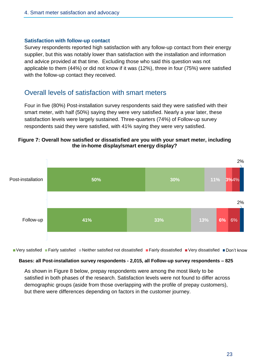#### **Satisfaction with follow-up contact**

Survey respondents reported high satisfaction with any follow-up contact from their energy supplier, but this was notably lower than satisfaction with the installation and information and advice provided at that time. Excluding those who said this question was not applicable to them (44%) or did not know if it was (12%), three in four (75%) were satisfied with the follow-up contact they received.

### <span id="page-23-0"></span>Overall levels of satisfaction with smart meters

Four in five (80%) Post-installation survey respondents said they were satisfied with their smart meter, with half (50%) saying they were very satisfied. Nearly a year later, these satisfaction levels were largely sustained. Three-quarters (74%) of Follow-up survey respondents said they were satisfied, with 41% saying they were very satisfied.

#### **Figure 7: Overall how satisfied or dissatisfied are you with your smart meter, including the in-home display/smart energy display?**



■ Very satisfied ■ Fairly satisfied ■ Neither satisfied not dissatisfied ■ Fairly dissatisfied ■ Very dissatisfied ■ Don't know

#### **Bases: all Post-installation survey respondents - 2,015, all Follow-up survey respondents – 825**

As shown in Figure 8 below, prepay respondents were among the most likely to be satisfied in both phases of the research. Satisfaction levels were not found to differ across demographic groups (aside from those overlapping with the profile of prepay customers), but there were differences depending on factors in the customer journey.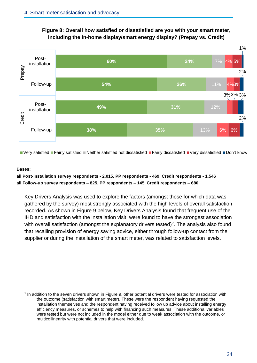



 $\blacksquare$  Very satisfied  $\blacksquare$  Fairly satisfied  $\blacksquare$  Neither satisfied not dissatisfied  $\blacksquare$  Fairly dissatisfied  $\blacksquare$  Very dissatisfied  $\blacksquare$  Don't know

#### **Bases:**

#### **all Post-installation survey respondents - 2,015, PP respondents - 469, Credit respondents - 1,546 all Follow-up survey respondents – 825, PP respondents – 145, Credit respondents – 680**

Key Drivers Analysis was used to explore the factors (amongst those for which data was gathered by the survey) most strongly associated with the high levels of overall satisfaction recorded. As shown in Figure 9 below, Key Drivers Analysis found that frequent use of the IHD and satisfaction with the installation visit, were found to have the strongest association with overall satisfaction (amongst the explanatory drivers tested)<sup>7</sup>. The analysis also found that recalling provision of energy saving advice, either through follow-up contact from the supplier or during the installation of the smart meter, was related to satisfaction levels.

<sup>7</sup> In addition to the seven drivers shown in Figure 9, other potential drivers were tested for association with the outcome (satisfaction with smart meter). These were the respondent having requested the installation themselves and the respondent having received follow up advice about installing energy efficiency measures, or schemes to help with financing such measures. These additional variables were tested but were not included in the model either due to weak association with the outcome, or multicollinearity with potential drivers that were included.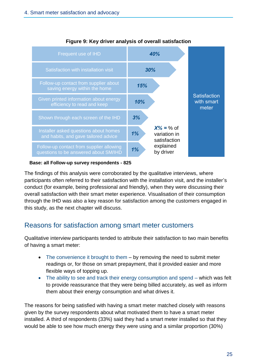

#### **Figure 9: Key driver analysis of overall satisfaction**

**Base: all Follow-up survey respondents - 825**

The findings of this analysis were corroborated by the qualitative interviews, where participants often referred to their satisfaction with the installation visit, and the installer's conduct (for example, being professional and friendly), when they were discussing their overall satisfaction with their smart meter experience. Visualisation of their consumption through the IHD was also a key reason for satisfaction among the customers engaged in this study, as the next chapter will discuss.

# <span id="page-25-0"></span>Reasons for satisfaction among smart meter customers

Qualitative interview participants tended to attribute their satisfaction to two main benefits of having a smart meter:

- The convenience it brought to them by removing the need to submit meter readings or, for those on smart prepayment, that it provided easier and more flexible ways of topping up.
- The ability to see and track their energy consumption and spend which was felt to provide reassurance that they were being billed accurately, as well as inform them about their energy consumption and what drives it.

The reasons for being satisfied with having a smart meter matched closely with reasons given by the survey respondents about what motivated them to have a smart meter installed. A third of respondents (33%) said they had a smart meter installed so that they would be able to see how much energy they were using and a similar proportion (30%)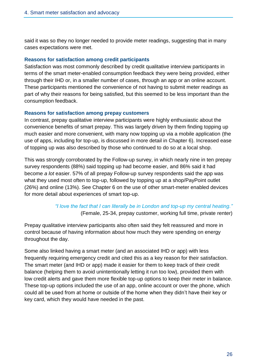said it was so they no longer needed to provide meter readings, suggesting that in many cases expectations were met.

#### **Reasons for satisfaction among credit participants**

Satisfaction was most commonly described by credit qualitative interview participants in terms of the smart meter-enabled consumption feedback they were being provided, either through their IHD or, in a smaller number of cases, through an app or an online account. These participants mentioned the convenience of not having to submit meter readings as part of why their reasons for being satisfied, but this seemed to be less important than the consumption feedback.

#### **Reasons for satisfaction among prepay customers**

In contrast, prepay qualitative interview participants were highly enthusiastic about the convenience benefits of smart prepay. This was largely driven by them finding topping up much easier and more convenient, with many now topping up via a mobile application (the use of apps, including for top-up, is discussed in more detail in Chapter 6). Increased ease of topping up was also described by those who continued to do so at a local shop.

This was strongly corroborated by the Follow-up survey, in which nearly nine in ten prepay survey respondents (88%) said topping up had become easier, and 86% said it had become *a lot* easier. 57% of all prepay Follow-up survey respondents said the app was what they used most often to top-up, followed by topping up at a shop/PayPoint outlet (26%) and online (13%). See Chapter 6 on the use of other smart-meter enabled devices for more detail about experiences of smart top-up.

> *"I love the fact that I can literally be in London and top-up my central heating."* (Female, 25-34, prepay customer, working full time, private renter)

Prepay qualitative interview participants also often said they felt reassured and more in control because of having information about how much they were spending on energy throughout the day.

Some also linked having a smart meter (and an associated IHD or app) with less frequently requiring emergency credit and cited this as a key reason for their satisfaction. The smart meter (and IHD or app) made it easier for them to keep track of their credit balance (helping them to avoid unintentionally letting it run too low), provided them with low credit alerts and gave them more flexible top-up options to keep their meter in balance. These top-up options included the use of an app, online account or over the phone, which could all be used from at home or outside of the home when they didn't have their key or key card, which they would have needed in the past.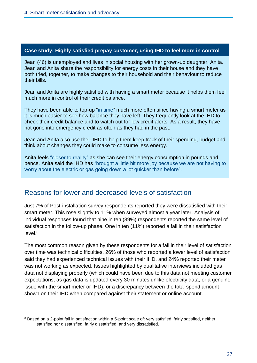#### **Case study: Highly satisfied prepay customer, using IHD to feel more in control**

Jean (46) is unemployed and lives in social housing with her grown-up daughter, Anita. Jean and Anita share the responsibility for energy costs in their house and they have both tried, together, to make changes to their household and their behaviour to reduce their bills.

Jean and Anita are highly satisfied with having a smart meter because it helps them feel much more in control of their credit balance.

They have been able to top-up "in time" much more often since having a smart meter as it is much easier to see how balance they have left. They frequently look at the IHD to check their credit balance and to watch out for low credit alerts. As a result, they have not gone into emergency credit as often as they had in the past.

Jean and Anita also use their IHD to help them keep track of their spending, budget and think about changes they could make to consume less energy.

Anita feels "closer to reality" as she can see their energy consumption in pounds and pence. Anita said the IHD has "brought a little bit more joy because we are not having to worry about the electric or gas going down a lot quicker than before".

### <span id="page-27-0"></span>Reasons for lower and decreased levels of satisfaction

Just 7% of Post-installation survey respondents reported they were dissatisfied with their smart meter. This rose slightly to 11% when surveyed almost a year later. Analysis of individual responses found that nine in ten (89%) respondents reported the same level of satisfaction in the follow-up phase. One in ten (11%) reported a fall in their satisfaction  $level<sup>8</sup>$ 

The most common reason given by these respondents for a fall in their level of satisfaction over time was technical difficulties. 26% of those who reported a lower level of satisfaction said they had experienced technical issues with their IHD, and 24% reported their meter was not working as expected. Issues highlighted by qualitative interviews included gas data not displaying properly (which could have been due to this data not meeting customer expectations, as gas data is updated every 30 minutes unlike electricity data, or a genuine issue with the smart meter or IHD), or a discrepancy between the total spend amount shown on their IHD when compared against their statement or online account.

<sup>8</sup> Based on a 2-point fall in satisfaction within a 5-point scale of: very satisfied, fairly satisfied, neither satisfied nor dissatisfied, fairly dissatisfied, and very dissatisfied.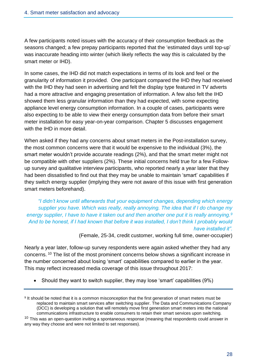A few participants noted issues with the accuracy of their consumption feedback as the seasons changed; a few prepay participants reported that the 'estimated days until top-up' was inaccurate heading into winter (which likely reflects the way this is calculated by the smart meter or IHD).

In some cases, the IHD did not match expectations in terms of its look and feel or the granularity of information it provided. One participant compared the IHD they had received with the IHD they had seen in advertising and felt the display type featured in TV adverts had a more attractive and engaging presentation of information. A few also felt the IHD showed them less granular information than they had expected, with some expecting appliance level energy consumption information. In a couple of cases, participants were also expecting to be able to view their energy consumption data from before their smart meter installation for easy year-on-year comparison. Chapter 5 discusses engagement with the IHD in more detail.

When asked if they had any concerns about smart meters in the Post-installation survey, the most common concerns were that it would be expensive to the individual (3%), the smart meter wouldn't provide accurate readings (2%), and that the smart meter might not be compatible with other suppliers (2%). These initial concerns held true for a few Followup survey and qualitative interview participants, who reported nearly a year later that they had been dissatisfied to find out that they may be unable to maintain 'smart' capabilities if they switch energy supplier (implying they were not aware of this issue with first generation smart meters beforehand).

*"I didn't know until afterwards that your equipment changes, depending which energy supplier you have. Which was really, really annoying. The idea that if I do change my energy supplier, I have to have it taken out and then another one put it is really annoying.<sup>9</sup> And to be honest, if I had known that before it was installed, I don't think I probably would have installed it".*

(Female, 25-34, credit customer, working full time, owner-occupier)

Nearly a year later, follow-up survey respondents were again asked whether they had any concerns. <sup>10</sup> The list of the most prominent concerns below shows a significant increase in the number concerned about losing 'smart' capabilities compared to earlier in the year. This may reflect increased media coverage of this issue throughout 2017:

• Should they want to switch supplier, they may lose 'smart' capabilities (9%)

<sup>&</sup>lt;sup>9</sup> It should be noted that it is a common misconception that the first generation of smart meters must be replaced to maintain smart services after switching supplier. The Data and Communications Company (DCC) is developing a solution that will remotely move first generation smart meters into the national communications infrastructure to enable consumers to retain their smart services upon switching.  $10$  This was an open-question inviting a spontaneous response (meaning that respondents could answer in

any way they choose and were not limited to set responses).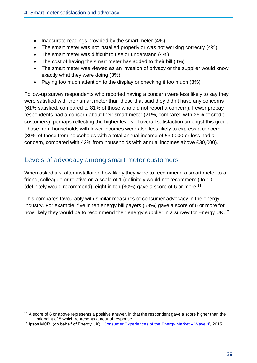- Inaccurate readings provided by the smart meter (4%)
- The smart meter was not installed properly or was not working correctly (4%)
- The smart meter was difficult to use or understand (4%)
- The cost of having the smart meter has added to their bill (4%)
- The smart meter was viewed as an invasion of privacy or the supplier would know exactly what they were doing (3%)
- Paying too much attention to the display or checking it too much (3%)

Follow-up survey respondents who reported having a concern were less likely to say they were satisfied with their smart meter than those that said they didn't have any concerns (61% satisfied, compared to 81% of those who did not report a concern). Fewer prepay respondents had a concern about their smart meter (21%, compared with 36% of credit customers), perhaps reflecting the higher levels of overall satisfaction amongst this group. Those from households with lower incomes were also less likely to express a concern (30% of those from households with a total annual income of £30,000 or less had a concern, compared with 42% from households with annual incomes above £30,000).

### <span id="page-29-0"></span>Levels of advocacy among smart meter customers

When asked just after installation how likely they were to recommend a smart meter to a friend, colleague or relative on a scale of 1 (definitely would not recommend) to 10 (definitely would recommend), eight in ten (80%) gave a score of 6 or more. 11

This compares favourably with similar measures of consumer advocacy in the energy industry. For example, five in ten energy bill payers (53%) gave a score of 6 or more for how likely they would be to recommend their energy supplier in a survey for Energy UK.<sup>12</sup>

<sup>11</sup> A score of 6 or above represents a positive answer, in that the respondent gave a score higher than the midpoint of 5 which represents a neutral response.

<sup>&</sup>lt;sup>12</sup> Ipsos MORI (on behalf of Energy UK), ['Consumer Experiences of the Energy Market –](https://www.ipsos.com/ipsos-mori/en-uk/consumer-experiences-energy-market) Wave 4', 2015.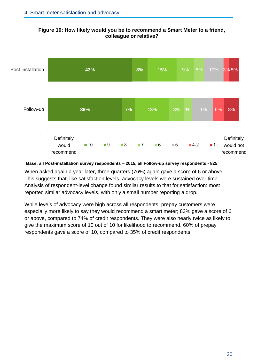

**Figure 10: How likely would you be to recommend a Smart Meter to a friend, colleague or relative?**

#### **Base: all Post-installation survey respondents – 2015, all Follow-up survey respondents - 825**

When asked again a year later, three-quarters (76%) again gave a score of 6 or above. This suggests that, like satisfaction levels, advocacy levels were sustained over time. Analysis of respondent-level change found similar results to that for satisfaction: most reported similar advocacy levels, with only a small number reporting a drop.

While levels of advocacy were high across all respondents, prepay customers were especially more likely to say they would recommend a smart meter; 83% gave a score of 6 or above, compared to 74% of credit respondents. They were also nearly twice as likely to give the maximum score of 10 out of 10 for likelihood to recommend. 60% of prepay respondents gave a score of 10, compared to 35% of credit respondents.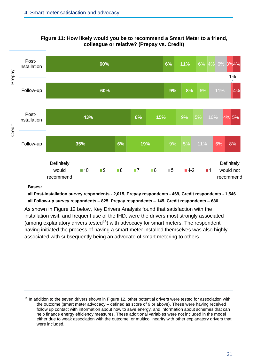

**Figure 11: How likely would you be to recommend a Smart Meter to a friend, colleague or relative? (Prepay vs. Credit)**

#### **Bases:**

#### **all Post-installation survey respondents - 2,015, Prepay respondents - 469, Credit respondents - 1,546 all Follow-up survey respondents – 825, Prepay respondents – 145, Credit respondents – 680**

As shown in Figure 12 below, Key Drivers Analysis found that satisfaction with the installation visit, and frequent use of the IHD, were the drivers most strongly associated (among explanatory drivers tested<sup>13</sup>) with advocacy for smart meters. The respondent having initiated the process of having a smart meter installed themselves was also highly associated with subsequently being an advocate of smart metering to others.

<sup>&</sup>lt;sup>13</sup> In addition to the seven drivers shown in Figure 12, other potential drivers were tested for association with the outcome (smart meter advocacy – defined as score of 9 or above). These were having received follow up contact with information about how to save energy, and information about schemes that can help finance energy efficiency measures. These additional variables were not included in the model either due to weak association with the outcome, or multicollinearity with other explanatory drivers that were included.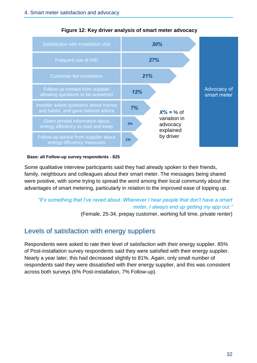

#### **Figure 12: Key driver analysis of smart meter advocacy**

#### **Base: all Follow-up survey respondents - 825**

Some qualitative interview participants said they had already spoken to their friends, family, neighbours and colleagues about their smart meter. The messages being shared were positive, with some trying to spread the word among their local community about the advantages of smart metering, particularly in relation to the improved ease of topping up.

# *"It's something that I've raved about. Whenever I hear people that don't have a smart meter, I always end up getting my app out."*

(Female, 25-34, prepay customer, working full time, private renter)

# <span id="page-32-0"></span>Levels of satisfaction with energy suppliers

Respondents were asked to rate their level of satisfaction with their energy supplier. 85% of Post-installation survey respondents said they were satisfied with their energy supplier. Nearly a year later, this had decreased slightly to 81%. Again, only small number of respondents said they were dissatisfied with their energy supplier, and this was consistent across both surveys (6% Post-installation, 7% Follow-up).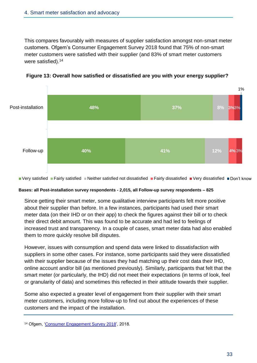This compares favourably with measures of supplier satisfaction amongst non-smart meter customers. Ofgem's Consumer Engagement Survey 2018 found that 75% of non-smart meter customers were satisfied with their supplier (and 83% of smart meter customers were satisfied).<sup>14</sup>





■ Very satisfied ■ Fairly satisfied ■ Neither satisfied not dissatisfied ■ Fairly dissatisfied ■ Very dissatisfied ■ Don't know

#### **Bases: all Post-installation survey respondents - 2,015, all Follow-up survey respondents – 825**

Since getting their smart meter, some qualitative interview participants felt more positive about their supplier than before. In a few instances, participants had used their smart meter data (on their IHD or on their app) to check the figures against their bill or to check their direct debit amount. This was found to be accurate and had led to feelings of increased trust and transparency. In a couple of cases, smart meter data had also enabled them to more quickly resolve bill disputes.

However, issues with consumption and spend data were linked to dissatisfaction with suppliers in some other cases. For instance, some participants said they were dissatisfied with their supplier because of the issues they had matching up their cost data their IHD, online account and/or bill (as mentioned previously). Similarly, participants that felt that the smart meter (or particularly, the IHD) did not meet their expectations (in terms of look, feel or granularity of data) and sometimes this reflected in their attitude towards their supplier.

Some also expected a greater level of engagement from their supplier with their smart meter customers, including more follow-up to find out about the experiences of these customers and the impact of the installation.

<sup>14</sup> Ofgem, ['Consumer Engagement Survey 2018'](https://www.ofgem.gov.uk/publications-and-updates/consumer-engagement-survey-2018), 2018.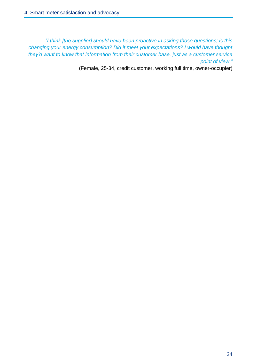*"I think [the supplier] should have been proactive in asking those questions; is this changing your energy consumption? Did it meet your expectations? I would have thought they'd want to know that information from their customer base, just as a customer service point of view."*

(Female, 25-34, credit customer, working full time, owner-occupier)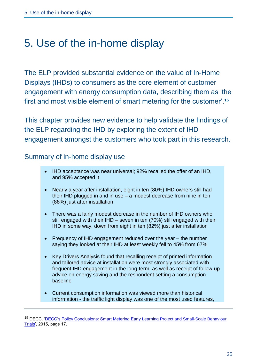# <span id="page-35-0"></span>5. Use of the in-home display

The ELP provided substantial evidence on the value of In-Home Displays (IHDs) to consumers as the core element of customer engagement with energy consumption data, describing them as 'the first and most visible element of smart metering for the customer'. **15**

This chapter provides new evidence to help validate the findings of the ELP regarding the IHD by exploring the extent of IHD engagement amongst the customers who took part in this research.

### Summary of in-home display use

- IHD acceptance was near universal; 92% recalled the offer of an IHD, and 95% accepted it
- Nearly a year after installation, eight in ten (80%) IHD owners still had their IHD plugged in and in use – a modest decrease from nine in ten (88%) just after installation
- There was a fairly modest decrease in the number of IHD owners who still engaged with their IHD – seven in ten (70%) still engaged with their IHD in some way, down from eight in ten (82%) just after installation
- Frequency of IHD engagement reduced over the year the number saying they looked at their IHD at least weekly fell to 45% from 67%
- Key Drivers Analysis found that recalling receipt of printed information and tailored advice at installation were most strongly associated with frequent IHD engagement in the long-term, as well as receipt of follow-up advice on energy saving and the respondent setting a consumption baseline
- Current consumption information was viewed more than historical information - the traffic light display was one of the most used features,

<sup>15</sup> DECC, ['DECC's Policy Conclusions: Smart Metering Early Learning Project and Small-Scale Behaviour](https://www.gov.uk/government/uploads/system/uploads/attachment_data/file/407539/1_Early_Learning_Project_and_Behaviour_Change_Trials_Policy_Conclusions_FINAL.pdf)  [Trials'](https://www.gov.uk/government/uploads/system/uploads/attachment_data/file/407539/1_Early_Learning_Project_and_Behaviour_Change_Trials_Policy_Conclusions_FINAL.pdf), 2015, page 17.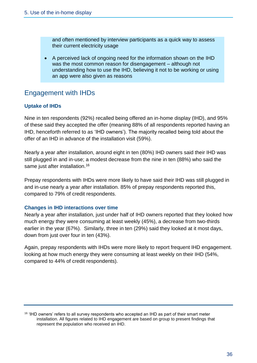and often mentioned by interview participants as a quick way to assess their current electricity usage

• A perceived lack of ongoing need for the information shown on the IHD was the most common reason for disengagement – although not understanding how to use the IHD, believing it not to be working or using an app were also given as reasons

# Engagement with IHDs

# **Uptake of IHDs**

Nine in ten respondents (92%) recalled being offered an in-home display (IHD), and 95% of these said they accepted the offer (meaning 88% of all respondents reported having an IHD, henceforth referred to as 'IHD owners'). The majority recalled being told about the offer of an IHD in advance of the installation visit (59%).

Nearly a year after installation, around eight in ten (80%) IHD owners said their IHD was still plugged in and in-use; a modest decrease from the nine in ten (88%) who said the same just after installation.<sup>16</sup>

Prepay respondents with IHDs were more likely to have said their IHD was still plugged in and in-use nearly a year after installation. 85% of prepay respondents reported this, compared to 79% of credit respondents.

## **Changes in IHD interactions over time**

Nearly a year after installation, just under half of IHD owners reported that they looked how much energy they were consuming at least weekly (45%), a decrease from two-thirds earlier in the year (67%). Similarly, three in ten (29%) said they looked at it most days, down from just over four in ten (43%).

Again, prepay respondents with IHDs were more likely to report frequent IHD engagement. looking at how much energy they were consuming at least weekly on their IHD (54%, compared to 44% of credit respondents).

<sup>16</sup> 'IHD owners' refers to all survey respondents who accepted an IHD as part of their smart meter installation. All figures related to IHD engagement are based on group to present findings that represent the population who received an IHD.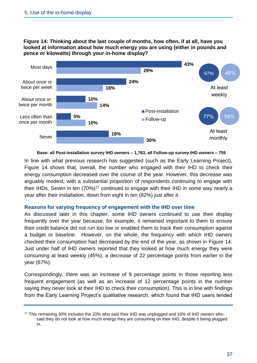**Figure 14: Thinking about the last couple of months, how often, if at all, have you looked at information about how much energy you are using (either in pounds and pence or kilowatts) through your in-home display?**



**Base: all Post-installation survey IHD owners – 1,763, all Follow-up survey IHD owners – 755**

In line with what previous research has suggested (such as the Early Learning Project), Figure 14 shows that, overall, the number who engaged with their IHD to check their energy consumption decreased over the course of the year. However, this decrease was arguably modest, with a substantial proportion of respondents continuing to engage with their IHDs. Seven in ten  $(70\%)$ <sup>17</sup> continued to engage with their IHD in some way nearly a year after their installation, down from eight in ten (82%) just after it.

#### **Reasons for varying frequency of engagement with the IHD over time**

As discussed later in this chapter, some IHD owners continued to use their display frequently over the year because, for example, it remained important to them to ensure their credit balance did not run too low or enabled them to track their consumption against a budget or baseline. However, on the whole, the frequency with which IHD owners checked their consumption had decreased by the end of the year, as shown in Figure 14. Just under half of IHD owners reported that they looked at how much energy they were consuming at least weekly (45%), a decrease of 22 percentage points from earlier in the year (67%).

Correspondingly, there was an increase of 9 percentage points in those reporting less frequent engagement (as well as an increase of 12 percentage points in the number saying they never look at their IHD to check their consumption). This is in line with findings from the Early Learning Project's qualitative research, which found that IHD users tended

<sup>17</sup> This remaining 30% includes the 20% who said their IHD was unplugged and 10% of IHD owners who said they do not look at how much energy they are consuming on their IHD, despite it being plugged in.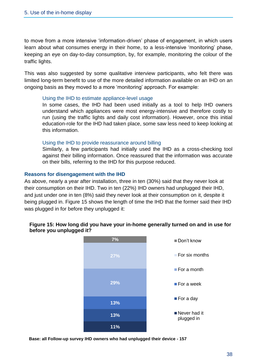to move from a more intensive 'information-driven' phase of engagement, in which users learn about what consumes energy in their home, to a less-intensive 'monitoring' phase, keeping an eye on day-to-day consumption, by, for example, monitoring the colour of the traffic lights.

This was also suggested by some qualitative interview participants, who felt there was limited long-term benefit to use of the more detailed information available on an IHD on an ongoing basis as they moved to a more 'monitoring' approach. For example:

#### Using the IHD to estimate appliance-level usage

In some cases, the IHD had been used initially as a tool to help IHD owners understand which appliances were most energy-intensive and therefore costly to run (using the traffic lights and daily cost information). However, once this initial education-role for the IHD had taken place, some saw less need to keep looking at this information.

#### Using the IHD to provide reassurance around billing

Similarly, a few participants had initially used the IHD as a cross-checking tool against their billing information. Once reassured that the information was accurate on their bills, referring to the IHD for this purpose reduced.

#### **Reasons for disengagement with the IHD**

As above, nearly a year after installation, three in ten (30%) said that they never look at their consumption on their IHD. Two in ten (22%) IHD owners had unplugged their IHD, and just under one in ten (8%) said they never look at their consumption on it, despite it being plugged in. Figure 15 shows the length of time the IHD that the former said their IHD was plugged in for before they unplugged it:

### **Figure 15: How long did you have your in-home generally turned on and in use for before you unplugged it?**



**Base: all Follow-up survey IHD owners who had unplugged their device - 157**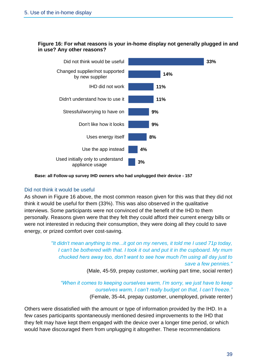### **Figure 16: For what reasons is your in-home display not generally plugged in and in use? Any other reasons?**



#### **Base: all Follow-up survey IHD owners who had unplugged their device - 157**

### Did not think it would be useful

As shown in Figure 16 above, the most common reason given for this was that they did not think it would be useful for them (33%). This was also observed in the qualitative interviews. Some participants were not convinced of the benefit of the IHD to them personally. Reasons given were that they felt they could afford their current energy bills or were not interested in reducing their consumption, they were doing all they could to save energy, or prized comfort over cost-saving.

> *"It didn't mean anything to me...it got on my nerves, it told me I used 71p today, I can't be bothered with that. I took it out and put it in the cupboard. My mum chucked hers away too, don't want to see how much I'm using all day just to save a few pennies."*

> > (Male, 45-59, prepay customer, working part time, social renter)

*"When it comes to keeping ourselves warm, I'm sorry, we just have to keep ourselves warm, I can't really budget on that, I can't freeze."* (Female, 35-44, prepay customer, unemployed, private renter)

Others were dissatisfied with the amount or type of information provided by the IHD. In a few cases participants spontaneously mentioned desired improvements to the IHD that they felt may have kept them engaged with the device over a longer time period, or which would have discouraged them from unplugging it altogether. These recommendations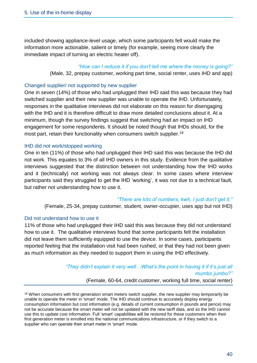included showing appliance-level usage, which some participants felt would make the information more actionable, salient or timely (for example, seeing more clearly the immediate impact of turning an electric heater off).

### *"How can I reduce it if you don't tell me where the money is going?"*

(Male, 32, prepay customer, working part time, social renter, uses IHD and app)

#### Changed supplier/ not supported by new supplier

One in seven (14%) of those who had unplugged their IHD said this was because they had switched supplier and their new supplier was unable to operate the IHD. Unfortunately, responses in the qualitative interviews did not elaborate on this reason for disengaging with the IHD and it is therefore difficult to draw more detailed conclusions about it. At a minimum, though the survey findings suggest that switching had an impact on IHD engagement for some respondents. It should be noted though that IHDs should, for the most part, retain their functionality when consumers switch supplier.<sup>18</sup>

### IHD did not work/stopped working

One in ten (11%) of those who had unplugged their IHD said this was because the IHD did not work. This equates to 3% of all IHD owners in this study. Evidence from the qualitative interviews suggested that the distinction between not understanding how the IHD works and it (technically) not working was not always clear. In some cases where interview participants said they struggled to get the IHD 'working', it was not due to a technical fault, but rather not understanding how to use it.

#### *"There are lots of numbers, kwh, I just don't get it."*

(Female, 25-34, prepay customer, student, owner-occupier, uses app but not IHD)

### Did not understand how to use it

11% of those who had unplugged their IHD said this was because they did not understand how to use it. The qualitative interviews found that some participants felt the installation did not leave them sufficiently equipped to use the device. In some cases, participants reported feeling that the installation visit had been rushed, or that they had not been given as much information as they needed to support them in using the IHD effectively.

# *"They didn't explain it very well…What's the point in having it if it's just all mumbo jumbo?"*

(Female, 60-64, credit customer, working full time, social renter)

<sup>18</sup> When consumers with first generation smart meters switch supplier, the new supplier may temporarily be unable to operate the meter in 'smart' mode. The IHD should continue to accurately display energy consumption information but cost information (e.g. details of current consumption in pounds and pence) may not be accurate because the smart meter will not be updated with the new tariff data, and so the IHD cannot use this to update cost information. Full 'smart' capabilities will be restored for these customers when their first generation meter is enrolled into the national communications infrastructure, or if they switch to a supplier who can operate their smart meter in 'smart' mode.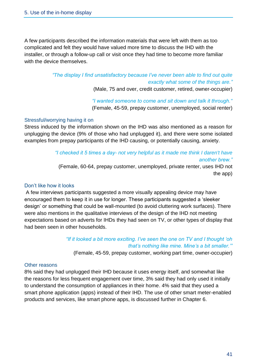A few participants described the information materials that were left with them as too complicated and felt they would have valued more time to discuss the IHD with the installer, or through a follow-up call or visit once they had time to become more familiar with the device themselves.

> *"The display I find unsatisfactory because I've never been able to find out quite exactly what some of the things are."*

(Male, 75 and over, credit customer, retired, owner-occupier)

*"I wanted someone to come and sit down and talk it through."*  (Female, 45-59, prepay customer, unemployed, social renter)

### Stressful/worrying having it on

Stress induced by the information shown on the IHD was also mentioned as a reason for unplugging the device (9% of those who had unplugged it), and there were some isolated examples from prepay participants of the IHD causing, or potentially causing, anxiety.

> *"I checked it 5 times a day- not very helpful as it made me think I daren't have another brew."*

(Female, 60-64, prepay customer, unemployed, private renter, uses IHD not the app)

## Don't like how it looks

A few interviews participants suggested a more visually appealing device may have encouraged them to keep it in use for longer. These participants suggested a 'sleeker design' or something that could be wall-mounted (to avoid cluttering work surfaces). There were also mentions in the qualitative interviews of the design of the IHD not meeting expectations based on adverts for IHDs they had seen on TV, or other types of display that had been seen in other households.

# *"If it looked a bit more exciting. I've seen the one on TV and I thought 'oh that's nothing like mine. Mine's a bit smaller.'"*

(Female, 45-59, prepay customer, working part time, owner-occupier)

## Other reasons

8% said they had unplugged their IHD because it uses energy itself, and somewhat like the reasons for less frequent engagement over time, 3% said they had only used it initially to understand the consumption of appliances in their home. 4% said that they used a smart phone application (apps) instead of their IHD. The use of other smart meter-enabled products and services, like smart phone apps, is discussed further in Chapter 6.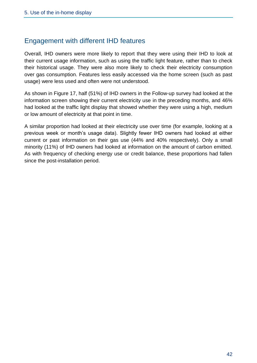# Engagement with different IHD features

Overall, IHD owners were more likely to report that they were using their IHD to look at their current usage information, such as using the traffic light feature, rather than to check their historical usage. They were also more likely to check their electricity consumption over gas consumption. Features less easily accessed via the home screen (such as past usage) were less used and often were not understood.

As shown in Figure 17, half (51%) of IHD owners in the Follow-up survey had looked at the information screen showing their current electricity use in the preceding months, and 46% had looked at the traffic light display that showed whether they were using a high, medium or low amount of electricity at that point in time.

A similar proportion had looked at their electricity use over time (for example, looking at a previous week or month's usage data). Slightly fewer IHD owners had looked at either current or past information on their gas use (44% and 40% respectively). Only a small minority (11%) of IHD owners had looked at information on the amount of carbon emitted. As with frequency of checking energy use or credit balance, these proportions had fallen since the post-installation period.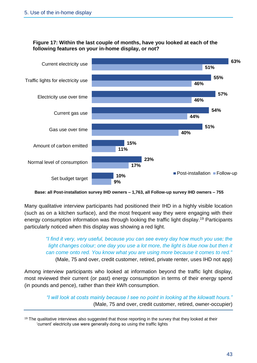## **Figure 17: Within the last couple of months, have you looked at each of the following features on your in-home display, or not?**



**Base: all Post-installation survey IHD owners – 1,763, all Follow-up survey IHD owners – 755**

Many qualitative interview participants had positioned their IHD in a highly visible location (such as on a kitchen surface), and the most frequent way they were engaging with their energy consumption information was through looking the traffic light display.<sup>19</sup> Participants particularly noticed when this display was showing a red light.

> *"I find it very, very useful, because you can see every day how much you use; the light changes colour; one day you use a lot more, the light is blue now but then it can come onto red. You know what you are using more because it comes to red."*  (Male, 75 and over, credit customer, retired, private renter, uses IHD not app)

Among interview participants who looked at information beyond the traffic light display, most reviewed their current (or past) energy consumption in terms of their energy spend (in pounds and pence), rather than their kWh consumption.

> *"I will look at costs mainly because I see no point in looking at the kilowatt hours."* (Male, 75 and over, credit customer, retired, owner-occupier)

 $19$  The qualitative interviews also suggested that those reporting in the survey that they looked at their 'current' electricity use were generally doing so using the traffic lights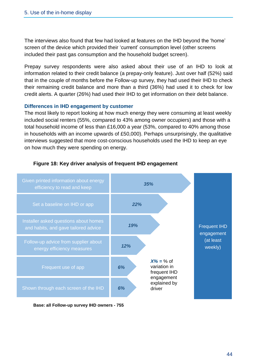The interviews also found that few had looked at features on the IHD beyond the 'home' screen of the device which provided their 'current' consumption level (other screens included their past gas consumption and the household budget screen).

Prepay survey respondents were also asked about their use of an IHD to look at information related to their credit balance (a prepay-only feature). Just over half (52%) said that in the couple of months before the Follow-up survey, they had used their IHD to check their remaining credit balance and more than a third (36%) had used it to check for low credit alerts. A quarter (26%) had used their IHD to get information on their debt balance.

### **Differences in IHD engagement by customer**

The most likely to report looking at how much energy they were consuming at least weekly included social renters (55%, compared to 43% among owner occupiers) and those with a total household income of less than £16,000 a year (53%, compared to 40% among those in households with an income upwards of £50,000). Perhaps unsurprisingly, the qualitative interviews suggested that more cost-conscious households used the IHD to keep an eye on how much they were spending on energy.



## **Figure 18: Key driver analysis of frequent IHD engagement**

**Base: all Follow-up survey IHD owners - 755**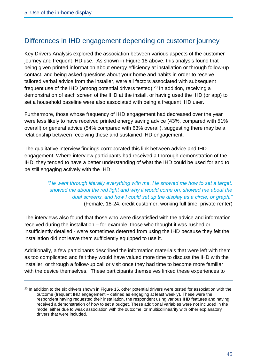# Differences in IHD engagement depending on customer journey

Key Drivers Analysis explored the association between various aspects of the customer journey and frequent IHD use. As shown in Figure 18 above, this analysis found that being given printed information about energy efficiency at installation or through follow-up contact, and being asked questions about your home and habits in order to receive tailored verbal advice from the installer, were all factors associated with subsequent frequent use of the IHD (among potential drivers tested).<sup>20</sup> In addition, receiving a demonstration of each screen of the IHD at the install, or having used the IHD (or app) to set a household baseline were also associated with being a frequent IHD user.

Furthermore, those whose frequency of IHD engagement had decreased over the year were less likely to have received printed energy saving advice (43%, compared with 51% overall) or general advice (54% compared with 63% overall), suggesting there may be a relationship between receiving these and sustained IHD engagement.

The qualitative interview findings corroborated this link between advice and IHD engagement. Where interview participants had received a thorough demonstration of the IHD, they tended to have a better understanding of what the IHD could be used for and to be still engaging actively with the IHD.

# *"He went through literally everything with me. He showed me how to set a target, showed me about the red light and why it would come on, showed me about the dual screens, and how I could set up the display as a circle, or graph."*  (Female, 18-24, credit customer, working full time, private renter)

The interviews also found that those who were dissatisfied with the advice and information received during the installation – for example, those who thought it was rushed or insufficiently detailed - were sometimes deterred from using the IHD because they felt the installation did not leave them sufficiently equipped to use it.

Additionally, a few participants described the information materials that were left with them as too complicated and felt they would have valued more time to discuss the IHD with the installer, or through a follow-up call or visit once they had time to become more familiar with the device themselves. These participants themselves linked these experiences to

<sup>&</sup>lt;sup>20</sup> In addition to the six drivers shown in Figure 15, other potential drivers were tested for association with the outcome (frequent IHD engagement – defined as engaging at least weekly). These were the respondent having requested their installation, the respondent using various IHD features and having received a demonstration of how to set a budget. These additional variables were not included in the model either due to weak association with the outcome, or multicollinearity with other explanatory drivers that were included.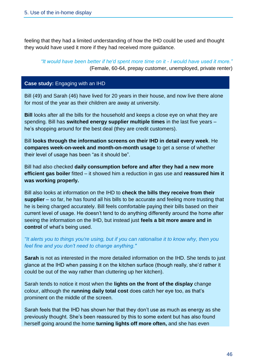feeling that they had a limited understanding of how the IHD could be used and thought they would have used it more if they had received more guidance.

*"It would have been better if he'd spent more time on it - I would have used it more."*  (Female, 60-64, prepay customer, unemployed, private renter)

### **Case study:** Engaging with an IHD

Bill (49) and Sarah (46) have lived for 20 years in their house, and now live there alone for most of the year as their children are away at university.

**Bill** looks after all the bills for the household and keeps a close eye on what they are spending. Bill has **switched energy supplier multiple times** in the last five years – he's shopping around for the best deal (they are credit customers).

Bill **looks through the information screens on their IHD in detail every week**. He **compares week-on-week and month-on-month usage** to get a sense of whether their level of usage has been "as it should be".

Bill had also checked **daily consumption before and after they had a new more efficient gas boiler** fitted – it showed him a reduction in gas use and **reassured him it was working properly.** 

Bill also looks at information on the IHD to **check the bills they receive from their supplier** – so far, he has found all his bills to be accurate and feeling more trusting that he is being charged accurately. Bill feels comfortable paying their bills based on their current level of usage. He doesn't tend to do anything differently around the home after seeing the information on the IHD, but instead just **feels a bit more aware and in control** of what's being used.

*"It alerts you to things you're using, but if you can rationalise it to know why, then you feel fine and you don't need to change anything."*

**Sarah** is not as interested in the more detailed information on the IHD. She tends to just glance at the IHD when passing it on the kitchen surface (though really, she'd rather it could be out of the way rather than cluttering up her kitchen).

Sarah tends to notice it most when the **lights on the front of the display** change colour, although the **running daily total cost** does catch her eye too, as that's prominent on the middle of the screen.

Sarah feels that the IHD has shown her that they don't use as much as energy as she previously thought. She's been reassured by this to some extent but has also found herself going around the home **turning lights off more often,** and she has even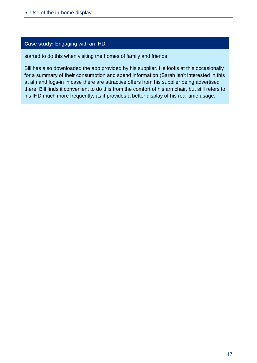### **Case study:** Engaging with an IHD

started to do this when visiting the homes of family and friends.

Bill has also downloaded the app provided by his supplier. He looks at this occasionally for a summary of their consumption and spend information (Sarah isn't interested in this at all) and logs-in in case there are attractive offers from his supplier being advertised there. Bill finds it convenient to do this from the comfort of his armchair, but still refers to his IHD much more frequently, as it provides a better display of his real-time usage.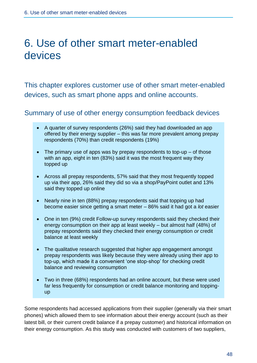# 6. Use of other smart meter-enabled devices

This chapter explores customer use of other smart meter-enabled devices, such as smart phone apps and online accounts.

Summary of use of other energy consumption feedback devices

- A quarter of survey respondents (26%) said they had downloaded an app offered by their energy supplier – this was far more prevalent among prepay respondents (70%) than credit respondents (19%)
- The primary use of apps was by prepay respondents to top-up  $-$  of those with an app, eight in ten (83%) said it was the most frequent way they topped up
- Across all prepay respondents, 57% said that they most frequently topped up via their app, 26% said they did so via a shop/PayPoint outlet and 13% said they topped up online
- Nearly nine in ten (88%) prepay respondents said that topping up had become easier since getting a smart meter – 86% said it had got a *lot* easier
- One in ten (9%) credit Follow-up survey respondents said they checked their energy consumption on their app at least weekly – but almost half (48%) of prepay respondents said they checked their energy consumption *or* credit balance at least weekly
- The qualitative research suggested that higher app engagement amongst prepay respondents was likely because they were already using their app to top-up, which made it a convenient 'one stop-shop' for checking credit balance and reviewing consumption
- Two in three (68%) respondents had an online account, but these were used far less frequently for consumption or credit balance monitoring and toppingup

Some respondents had accessed applications from their supplier (generally via their smart phones) which allowed them to see information about their energy account (such as their latest bill, or their current credit balance if a prepay customer) and historical information on their energy consumption. As this study was conducted with customers of two suppliers,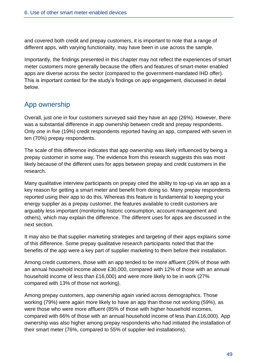and covered both credit and prepay customers, it is important to note that a range of different apps, with varying functionality, may have been in use across the sample.

Importantly, the findings presented in this chapter may not reflect the experiences of smart meter customers more generally because the offers and features of smart-meter enabled apps are diverse across the sector (compared to the government-mandated IHD offer). This is important context for the study's findings on app engagement, discussed in detail below.

# App ownership

Overall, just one in four customers surveyed said they have an app (26%). However, there was a substantial difference in app ownership between credit and prepay respondents. Only one in five (19%) credit respondents reported having an app, compared with seven in ten (70%) prepay respondents.

The scale of this difference indicates that app ownership was likely influenced by being a prepay customer in some way. The evidence from this research suggests this was most likely because of the different uses for apps between prepay and credit customers in the research.

Many qualitative interview participants on prepay cited the ability to top-up via an app as a key reason for getting a smart meter and benefit from doing so. Many prepay respondents reported using their app to do this. Whereas this feature is fundamental to keeping your energy supplier as a prepay customer, the features available to credit customers are arguably less important (monitoring historic consumption, account management and others), which may explain the difference. The different uses for apps are discussed in the next section.

It may also be that supplier marketing strategies and targeting of their apps explains some of this difference. Some prepay qualitative research participants noted that that the benefits of the app were a key part of supplier marketing to them before their installation.

Among credit customers, those with an app tended to be more affluent (26% of those with an annual household income above £30,000, compared with 12% of those with an annual household income of less than £16,000) and were more likely to be in work (27% compared with 13% of those not working).

Among prepay customers, app ownership again varied across demographics. Those working (79%) were again more likely to have an app than those not working (59%), as were those who were more affluent (85% of those with higher household incomes, compared with 66% of those with an annual household income of less than £16,000). App ownership was also higher among prepay respondents who had initiated the installation of their smart meter (76%, compared to 55% of supplier-led installations).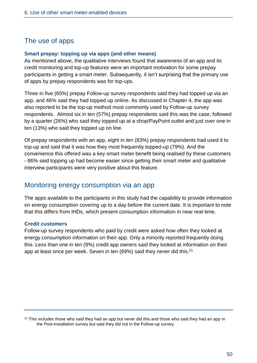# The use of apps

### **Smart prepay: topping up via apps (and other means)**

As mentioned above, the qualitative interviews found that awareness of an app and its credit monitoring and top-up features were an important motivation for some prepay participants in getting a smart meter. Subsequently, it isn't surprising that the primary use of apps by prepay respondents was for top-ups.

Three in five (60%) prepay Follow-up survey respondents said they had topped up via an app, and 46% said they had topped up online. As discussed in Chapter 4, the app was also reported to be the top-up method most commonly used by Follow-up survey respondents. Almost six in ten (57%) prepay respondents said this was the case, followed by a quarter (26%) who said they topped up at a shop/PayPoint outlet and just over one in ten (13%) who said they topped up on line.

Of prepay respondents with an app, eight in ten (83%) prepay respondents had used it to top-up and said that it was how they most frequently topped-up (79%). And the convenience this offered was a key smart meter benefit being realised by these customers - 86% said topping up had become easier since getting their smart meter and qualitative interview participants were very positive about this feature.

# Monitoring energy consumption via an app

The apps available to the participants in this study had the capability to provide information on energy consumption covering up to a day before the current date. It is important to note that this differs from IHDs, which present consumption information in near real-time.

### **Credit customers**

Follow-up survey respondents who paid by credit were asked how often they looked at energy consumption information on their app. Only a minority reported frequently doing this. Less than one in ten (9%) credit app owners said they looked at information on their app at least once per week. Seven in ten (69%) said they never did this.<sup>21</sup>

 $21$  This includes those who said they had an app but never did this and those who said they had an app in the Post-installation survey but said they did not in the Follow-up survey.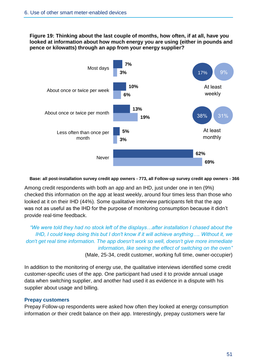**Figure 19: Thinking about the last couple of months, how often, if at all, have you looked at information about how much energy you are using (either in pounds and pence or kilowatts) through an app from your energy supplier?**



**Base: all post-installation survey credit app owners - 773, all Follow-up survey credit app owners - 366**

Among credit respondents with both an app and an IHD, just under one in ten (9%) checked this information on the app at least weekly, around four times less than those who looked at it on their IHD (44%). Some qualitative interview participants felt that the app was not as useful as the IHD for the purpose of monitoring consumption because it didn't provide real-time feedback.

*"We were told they had no stock left of the displays…after installation I chased about the IHD, I could keep doing this but I don't know if it will achieve anything…. Without it, we don't get real time information. The app doesn't work so well, doesn't give more immediate information, like seeing the effect of switching on the oven"* (Male, 25-34, credit customer, working full time, owner-occupier)

In addition to the monitoring of energy use, the qualitative interviews identified some credit customer-specific uses of the app. One participant had used it to provide annual usage data when switching supplier, and another had used it as evidence in a dispute with his supplier about usage and billing.

### **Prepay customers**

Prepay Follow-up respondents were asked how often they looked at energy consumption information *or* their credit balance on their app. Interestingly, prepay customers were far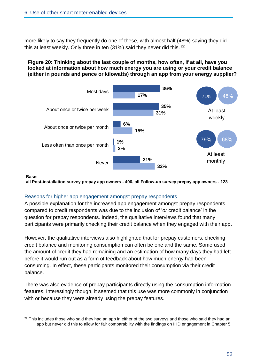more likely to say they frequently do one of these, with almost half (48%) saying they did this at least weekly. Only three in ten (31%) said they never did this. <sup>22</sup>

## **Figure 20: Thinking about the last couple of months, how often, if at all, have you looked at information about how much energy you are using or your credit balance (either in pounds and pence or kilowatts) through an app from your energy supplier?**



**Base:**

**all Post-installation survey prepay app owners - 400, all Follow-up survey prepay app owners - 123**

## Reasons for higher app engagement amongst prepay respondents

A possible explanation for the increased app engagement amongst prepay respondents compared to credit respondents was due to the inclusion of '*or* credit balance' in the question for prepay respondents. Indeed, the qualitative interviews found that many participants were primarily checking their credit balance when they engaged with their app.

However, the qualitative interviews also highlighted that for prepay customers, checking credit balance and monitoring consumption can often be one and the same. Some used the amount of credit they had remaining and an estimation of how many days they had left before it would run out as a form of feedback about how much energy had been consuming. In effect, these participants monitored their consumption via their credit balance.

There was also evidence of prepay participants directly using the consumption information features. Interestingly though, it seemed that this use was more commonly in conjunction with or because they were already using the prepay features.

<sup>&</sup>lt;sup>22</sup> This includes those who said they had an app in either of the two surveys and those who said they had an app but never did this to allow for fair comparability with the findings on IHD engagement in Chapter 5.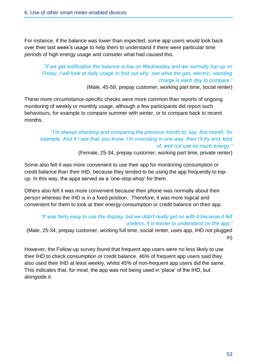For instance, if the balance was lower than expected, some app users would look back over their last week's usage to help them to understand if there were particular time periods of high energy usage and consider what had caused this.

# *"If we get notification the balance is low on Wednesday and we normally top-up on Friday, I will look at daily usage to find out why, see what the gas, electric, standing charge is each day to compare."*

(Male, 45-59, prepay customer, working part time, social renter)

These more circumstance-specific checks were more common than reports of ongoing monitoring of weekly or monthly usage, although a few participants did report such behaviours, for example to compare summer with winter, or to compare back to recent months.

# *"I'm always checking and comparing the previous month to, say, this month, for example. And if I see that, you know, I'm overusing in one way, then I'll try and, kind of, well not use as much energy."*

(Female, 25-34, prepay customer, working part time, private renter)

Some also felt it was more convenient to use their app for monitoring consumption or credit balance than their IHD, because they tended to be using the app frequently to topup. In this way, the apps served as a 'one-stop-shop' for them.

Others also felt it was more convenient because their phone was normally about their person whereas the IHD is in a fixed position. Therefore, it was more logical and convenient for them to look at their energy consumption or credit balance on their app.

# *"It was fairly easy to use the display, but we didn't really get on with it because it felt useless. It is easier to understand on the app."*

(Male, 25-34, prepay customer, working full time, social renter, uses app, IHD not plugged in)

However, the Follow-up survey found that frequent app users were no less likely to use their IHD to check consumption or credit balance. 46% of frequent app users said they also used their IHD at least weekly, whilst 45% of non-frequent app users did the same. This indicates that, for most, the app was not being used in 'place' of the IHD, but alongside it.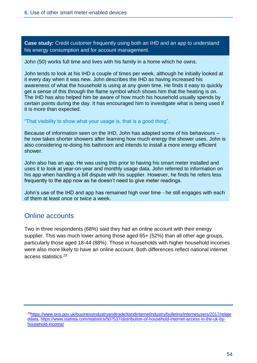**Case study:** Credit customer frequently using both an IHD and an app to understand his energy consumption and for account management.

John (50) works full time and lives with his family in a home which he owns.

John tends to look at his IHD a couple of times per week, although he initially looked at it every day when it was new. John describes the IHD as having increased his awareness of what the household is using at any given time. He finds it easy to quickly get a sense of this through the flame symbol which shows him that the heating is on. The IHD has also helped him be aware of how much his household usually spends by certain points during the day. It has encouraged him to investigate what is being used if it is more than expected.

"That visibility to show what your usage is, that is a good thing".

Because of information seen on the IHD, John has adapted some of his behaviours – he now takes shorter showers after learning how much energy the shower uses. John is also considering re-doing his bathroom and intends to install a more energy efficient shower.

John also has an app. He was using this prior to having his smart meter installed and uses it to look at year-on-year and monthly usage data. John referred to information on his app when handling a bill dispute with his supplier. However, he finds he refers less frequently to the app now as he doesn't need to give meter readings.

John's use of the IHD and app has remained high over time - he still engages with each of them at least once or twice a week.

# Online accounts

Two in three respondents (68%) said they had an online account with their energy supplier. This was much lower among those aged 65+ (52%) than all other age groups, particularly those aged 18-44 (88%). Those in households with higher household incomes were also more likely to have an online account. Both differences reflect national internet access statistics.<sup>23</sup>

<sup>23</sup>[https://www.ons.gov.uk/businessindustryandtrade/itandinternetindustry/bulletins/internetusers/2017/relate](https://www.ons.gov.uk/businessindustryandtrade/itandinternetindustry/bulletins/internetusers/2017/relateddata) [ddata,](https://www.ons.gov.uk/businessindustryandtrade/itandinternetindustry/bulletins/internetusers/2017/relateddata) [https://www.statista.com/statistics/507537/distribution-of-household-internet-access-in-the-uk-by](https://www.statista.com/statistics/507537/distribution-of-household-internet-access-in-the-uk-by-household-income/)[household-income/](https://www.statista.com/statistics/507537/distribution-of-household-internet-access-in-the-uk-by-household-income/)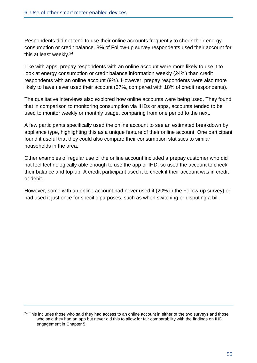Respondents did not tend to use their online accounts frequently to check their energy consumption or credit balance. 8% of Follow-up survey respondents used their account for this at least weekly. 24

Like with apps, prepay respondents with an online account were more likely to use it to look at energy consumption or credit balance information weekly (24%) than credit respondents with an online account (9%). However, prepay respondents were also more likely to have never used their account (37%, compared with 18% of credit respondents).

The qualitative interviews also explored how online accounts were being used. They found that in comparison to monitoring consumption via IHDs or apps, accounts tended to be used to monitor weekly or monthly usage, comparing from one period to the next.

A few participants specifically used the online account to see an estimated breakdown by appliance type, highlighting this as a unique feature of their online account. One participant found it useful that they could also compare their consumption statistics to similar households in the area.

Other examples of regular use of the online account included a prepay customer who did not feel technologically able enough to use the app or IHD, so used the account to check their balance and top-up. A credit participant used it to check if their account was in credit or debit.

However, some with an online account had never used it (20% in the Follow-up survey) or had used it just once for specific purposes, such as when switching or disputing a bill.

<sup>&</sup>lt;sup>24</sup> This includes those who said they had access to an online account in either of the two surveys and those who said they had an app but never did this to allow for fair comparability with the findings on IHD engagement in Chapter 5.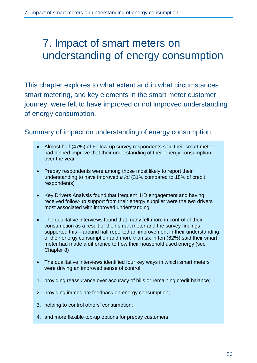# 7. Impact of smart meters on understanding of energy consumption

This chapter explores to what extent and in what circumstances smart metering, and key elements in the smart meter customer journey, were felt to have improved or not improved understanding of energy consumption.

# Summary of impact on understanding of energy consumption

- Almost half (47%) of Follow-up survey respondents said their smart meter had helped improve that their understanding of their energy consumption over the year
- Prepay respondents were among those most likely to report their understanding to have improved *a lot* (31% compared to 18% of credit respondents)
- Key Drivers Analysis found that frequent IHD engagement and having received follow-up support from their energy supplier were the two drivers most associated with improved understanding
- The qualitative interviews found that many felt more in control of their consumption as a result of their smart meter and the survey findings supported this – around half reported an improvement in their understanding of their energy consumption and more than six in ten (62%) said their smart meter had made a difference to how their household used energy (see Chapter 8)
- The qualitative interviews identified four key ways in which smart meters were driving an improved sense of control:
- 1. providing reassurance over accuracy of bills or remaining credit balance;
- 2. providing immediate feedback on energy consumption;
- 3. helping to control others' consumption;
- 4. and more flexible top-up options for prepay customers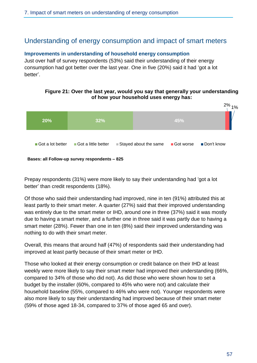# Understanding of energy consumption and impact of smart meters

### **Improvements in understanding of household energy consumption**

Just over half of survey respondents (53%) said their understanding of their energy consumption had got better over the last year. One in five (20%) said it had 'got a lot better'.

# **of how your household uses energy has: 20% 32% 45%** 2% 1% Got a lot better Got a little better  $\Box$  Stayed about the same  $\Box$  Got worse  $\Box$  Don't know

**Figure 21: Over the last year, would you say that generally your understanding** 

**Bases: all Follow-up survey respondents – 825**

Prepay respondents (31%) were more likely to say their understanding had 'got a lot better' than credit respondents (18%).

Of those who said their understanding had improved, nine in ten (91%) attributed this at least partly to their smart meter. A quarter (27%) said that their improved understanding was entirely due to the smart meter or IHD, around one in three (37%) said it was mostly due to having a smart meter, and a further one in three said it was partly due to having a smart meter (28%). Fewer than one in ten (8%) said their improved understanding was nothing to do with their smart meter.

Overall, this means that around half (47%) of respondents said their understanding had improved at least partly because of their smart meter or IHD.

Those who looked at their energy consumption or credit balance on their IHD at least weekly were more likely to say their smart meter had improved their understanding (66%, compared to 34% of those who did not). As did those who were shown how to set a budget by the installer (60%, compared to 45% who were not) and calculate their household baseline (55%, compared to 46% who were not). Younger respondents were also more likely to say their understanding had improved because of their smart meter (59% of those aged 18-34, compared to 37% of those aged 65 and over).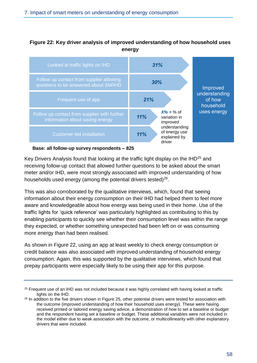## **Figure 22: Key driver analysis of improved understanding of how household uses energy**



#### **Base: all follow-up survey respondents – 825**

Key Drivers Analysis found that looking at the traffic light display on the IHD<sup>25</sup> and receiving follow-up contact that allowed further questions to be asked about the smart meter and/or IHD, were most strongly associated with improved understanding of how households used energy (among the potential drivers tested) $26$ .

This was also corroborated by the qualitative interviews, which, found that seeing information about their energy consumption on their IHD had helped them to feel more aware and knowledgeable about how energy was being used in their home. Use of the traffic lights for 'quick reference' was particularly highlighted as contributing to this by enabling participants to quickly see whether their consumption level was within the range they expected, or whether something unexpected had been left on or was consuming more energy than had been realised.

As shown in Figure 22, using an app at least weekly to check energy consumption or credit balance was also associated with improved understanding of household energy consumption. Again, this was supported by the qualitative interviews, which found that prepay participants were especially likely to be using their app for this purpose.

<sup>&</sup>lt;sup>25</sup> Frequent use of an IHD was not included because it was highly correlated with having looked at traffic lights on the IHD.

<sup>&</sup>lt;sup>26</sup> In addition to the five drivers shown in Figure 25, other potential drivers were tested for association with the outcome (improved understanding of how their household uses energy). These were having received printed or tailored energy saving advice, a demonstration of how to set a baseline or budget and the respondent having set a baseline or budget. These additional variables were not included in the model either due to weak association with the outcome, or multicollinearity with other explanatory drivers that were included.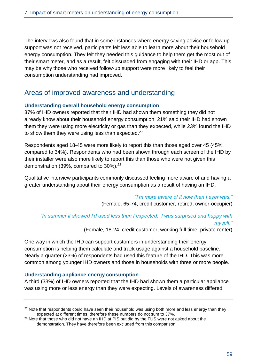The interviews also found that in some instances where energy saving advice or follow up support was not received, participants felt less able to learn more about their household energy consumption. They felt they needed this guidance to help them get the most out of their smart meter, and as a result, felt dissuaded from engaging with their IHD or app. This may be why those who received follow-up support were more likely to feel their consumption understanding had improved.

# Areas of improved awareness and understanding

## **Understanding overall household energy consumption**

37% of IHD owners reported that their IHD had shown them something they did not already know about their household energy consumption: 21% said their IHD had shown them they were using more electricity or gas than they expected, while 23% found the IHD to show them they were using less than expected.<sup>27</sup>

Respondents aged 18-45 were more likely to report this than those aged over 45 (45%, compared to 34%). Respondents who had been shown through each screen of the IHD by their installer were also more likely to report this than those who were not given this demonstration (39%, compared to 30%).<sup>28</sup>

Qualitative interview participants commonly discussed feeling more aware of and having a greater understanding about their energy consumption as a result of having an IHD.

> *"I'm more aware of it now than I ever was."* (Female, 65-74, credit customer, retired, owner-occupier)

*"In summer it showed I'd used less than I expected. I was surprised and happy with myself."*

(Female, 18-24, credit customer, working full time, private renter)

One way in which the IHD can support customers in understanding their energy consumption is helping them calculate and track usage against a household baseline. Nearly a quarter (23%) of respondents had used this feature of the IHD. This was more common among younger IHD owners and those in households with three or more people.

## **Understanding appliance energy consumption**

A third (33%) of IHD owners reported that the IHD had shown them a particular appliance was using more or less energy than they were expecting. Levels of awareness differed

<sup>&</sup>lt;sup>27</sup> Note that respondents could have seen their household was using both more and less energy than they expected at different times, therefore these numbers do not sum to 37%.

<sup>&</sup>lt;sup>28</sup> Note that those who did not have an IHD at PIS but did by the FUS were not asked about the demonstration. They have therefore been excluded from this comparison.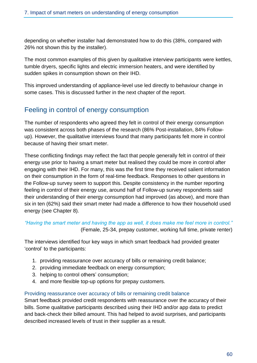depending on whether installer had demonstrated how to do this (38%, compared with 26% not shown this by the installer).

The most common examples of this given by qualitative interview participants were kettles, tumble dryers, specific lights and electric immersion heaters, and were identified by sudden spikes in consumption shown on their IHD.

This improved understanding of appliance-level use led directly to behaviour change in some cases. This is discussed further in the next chapter of the report.

# Feeling in control of energy consumption

The number of respondents who agreed they felt in control of their energy consumption was consistent across both phases of the research (86% Post-installation, 84% Followup). However, the qualitative interviews found that many participants felt more in control because of having their smart meter.

These conflicting findings may reflect the fact that people generally felt in control of their energy use prior to having a smart meter but realised they could be more in control after engaging with their IHD. For many, this was the first time they received salient information on their consumption in the form of real-time feedback. Responses to other questions in the Follow-up survey seem to support this. Despite consistency in the number reporting feeling in control of their energy use, around half of Follow-up survey respondents said their understanding of their energy consumption had improved (as above), and more than six in ten (62%) said their smart meter had made a difference to how their household used energy (see Chapter 8).

# *"Having the smart meter and having the app as well, it does make me feel more in control."* (Female, 25-34, prepay customer, working full time, private renter)

The interviews identified four key ways in which smart feedback had provided greater 'control' to the participants:

- 1. providing reassurance over accuracy of bills or remaining credit balance;
- 2. providing immediate feedback on energy consumption;
- 3. helping to control others' consumption;
- 4. and more flexible top-up options for prepay customers.

## Providing reassurance over accuracy of bills or remaining credit balance

Smart feedback provided credit respondents with reassurance over the accuracy of their bills. Some qualitative participants described using their IHD and/or app data to predict and back-check their billed amount. This had helped to avoid surprises, and participants described increased levels of trust in their supplier as a result.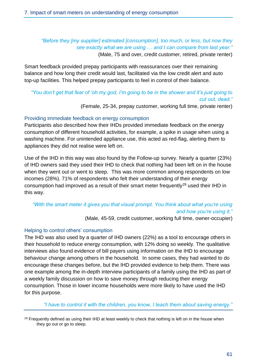## *"Before they [my supplier] estimated [consumption], too much, or less, but now they see exactly what we are using … and I can compare from last year."* (Male, 75 and over, credit customer, retired, private renter)

Smart feedback provided prepay participants with reassurances over their remaining balance and how long their credit would last, facilitated via the low credit alert and auto top-up facilities. This helped prepay participants to feel in control of their balance.

# *"You don't get that fear of 'oh my god, I'm going to be in the shower and it's just going to cut out, dead."*

(Female, 25-34, prepay customer, working full time, private renter)

## Providing immediate feedback on energy consumption

Participants also described how their IHDs provided immediate feedback on the energy consumption of different household activities, for example, a spike in usage when using a washing machine. For unintended appliance use, this acted as red-flag, alerting them to appliances they did not realise were left on.

Use of the IHD in this way was also found by the Follow-up survey. Nearly a quarter (23%) of IHD owners said they used their IHD to check that nothing had been left on in the house when they went out or went to sleep. This was more common among respondents on low incomes (28%). 71% of respondents who felt their understanding of their energy consumption had improved as a result of their smart meter frequently<sup>29</sup> used their IHD in this way.

# *"With the smart meter it gives you that visual prompt. You think about what you're using and how you're using it."*

(Male, 45-59, credit customer, working full time, owner-occupier)

## Helping to control others' consumption

The IHD was also used by a quarter of IHD owners (22%) as a tool to encourage others in their household to reduce energy consumption, with 12% doing so weekly. The qualitative interviews also found evidence of bill payers using information on the IHD to encourage behaviour change among others in the household. In some cases, they had wanted to do encourage these changes before, but the IHD provided evidence to help them. There was one example among the in-depth interview participants of a family using the IHD as part of a weekly family discussion on how to save money through reducing their energy consumption. Those in lower income households were more likely to have used the IHD for this purpose.

 *"I have to control it with the children, you know, I teach them about saving energy."* 

<sup>29</sup> Frequently defined as using their IHD at least weekly to check that nothing is left on in the house when they go out or go to sleep.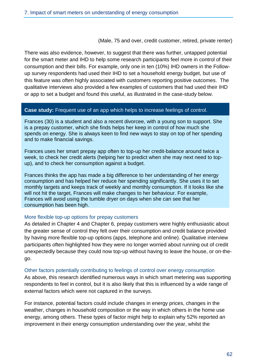(Male, 75 and over, credit customer, retired, private renter)

There was also evidence, however, to suggest that there was further, untapped potential for the smart meter and IHD to help some research participants feel more in control of their consumption and their bills. For example, only one in ten (10%) IHD owners in the Followup survey respondents had used their IHD to set a household energy budget, but use of this feature was often highly associated with customers reporting positive outcomes. The qualitative interviews also provided a few examples of customers that had used their IHD or app to set a budget and found this useful, as illustrated in the case-study below.

### **Case study:** Frequent use of an app which helps to increase feelings of control.

Frances (30) is a student and also a recent divorcee, with a young son to support. She is a prepay customer, which she finds helps her keep in control of how much she spends on energy. She is always keen to find new ways to stay on top of her spending and to make financial savings.

Frances uses her smart prepay app often to top-up her credit-balance around twice a week, to check her credit alerts (helping her to predict when she may next need to topup), and to check her consumption against a budget.

Frances thinks the app has made a big difference to her understanding of her energy consumption and has helped her reduce her spending significantly. She uses it to set monthly targets and keeps track of weekly and monthly consumption. If it looks like she will not hit the target, Frances will make changes to her behaviour. For example, Frances will avoid using the tumble dryer on days when she can see that her consumption has been high.

### More flexible top-up options for prepay customers

As detailed in Chapter 4 and Chapter 6, prepay customers were highly enthusiastic about the greater sense of control they felt over their consumption and credit balance provided by having more flexible top-up options (apps, telephone and online). Qualitative interview participants often highlighted how they were no longer worried about running out of credit unexpectedly because they could now top-up without having to leave the house, or on-thego.

### Other factors potentially contributing to feelings of control over energy consumption

As above, this research identified numerous ways in which smart metering was supporting respondents to feel in control, but it is also likely that this is influenced by a wide range of external factors which were not captured in the surveys.

For instance, potential factors could include changes in energy prices, changes in the weather, changes in household composition or the way in which others in the home use energy, among others. These types of factor might help to explain why 52% reported an improvement in their energy consumption understanding over the year, whilst the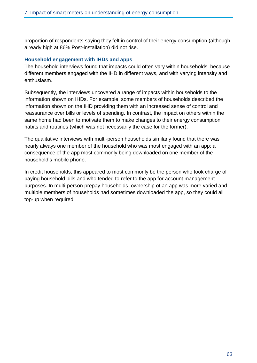proportion of respondents saying they felt in control of their energy consumption (although already high at 86% Post-installation) did not rise.

### **Household engagement with IHDs and apps**

The household interviews found that impacts could often vary within households, because different members engaged with the IHD in different ways, and with varying intensity and enthusiasm.

Subsequently, the interviews uncovered a range of impacts within households to the information shown on IHDs. For example, some members of households described the information shown on the IHD providing them with an increased sense of control and reassurance over bills or levels of spending. In contrast, the impact on others within the same home had been to motivate them to make changes to their energy consumption habits and routines (which was not necessarily the case for the former).

The qualitative interviews with multi-person households similarly found that there was nearly always one member of the household who was most engaged with an app; a consequence of the app most commonly being downloaded on one member of the household's mobile phone.

In credit households, this appeared to most commonly be the person who took charge of paying household bills and who tended to refer to the app for account management purposes. In multi-person prepay households, ownership of an app was more varied and multiple members of households had sometimes downloaded the app, so they could all top-up when required.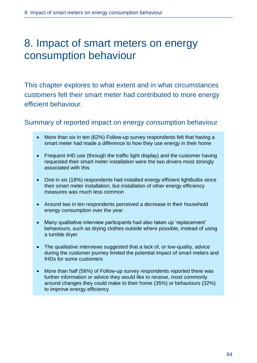# 8. Impact of smart meters on energy consumption behaviour

This chapter explores to what extent and in what circumstances customers felt their smart meter had contributed to more energy efficient behaviour.

# Summary of reported impact on energy consumption behaviour

- More than six in ten (62%) Follow-up survey respondents felt that having a smart meter had made a difference to how they use energy in their home
- Frequent IHD use (through the traffic light display) and the customer having requested their smart meter installation were the two drivers most strongly associated with this
- One in six (18%) respondents had installed energy efficient lightbulbs since their smart meter installation, but installation of other energy efficiency measures was much less common
- Around two in ten respondents perceived a decrease in their household energy consumption over the year
- Many qualitative interview participants had also taken up 'replacement' behaviours, such as drying clothes outside where possible, instead of using a tumble dryer
- The qualitative interviews suggested that a lack of, or low-quality, advice during the customer journey limited the potential impact of smart meters and IHDs for some customers
- More than half (56%) of Follow-up survey respondents reported there was further information or advice they would like to receive, most commonly around changes they could make to their home (35%) or behaviours (32%) to improve energy efficiency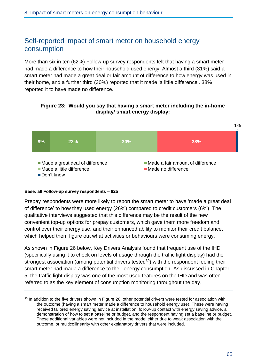# Self-reported impact of smart meter on household energy consumption

More than six in ten (62%) Follow-up survey respondents felt that having a smart meter had made a difference to how their household used energy. Almost a third (31%) said a smart meter had made a great deal or fair amount of difference to how energy was used in their home, and a further third (30%) reported that it made 'a little difference'. 38% reported it to have made no difference.

### **Figure 23: Would you say that having a smart meter including the in-home display/ smart energy display:**



### **Base: all Follow-up survey respondents – 825**

Prepay respondents were more likely to report the smart meter to have 'made a great deal of difference' to how they used energy (26%) compared to credit customers (6%). The qualitative interviews suggested that this difference may be the result of the new convenient top-up options for prepay customers, which gave them more freedom and control over their energy use, and their enhanced ability to monitor their credit balance, which helped them figure out what activities or behaviours were consuming energy.

As shown in Figure 26 below, Key Drivers Analysis found that frequent use of the IHD (specifically using it to check on levels of usage through the traffic light display) had the strongest association (among potential drivers tested<sup>30</sup>) with the respondent feeling their smart meter had made a difference to their energy consumption. As discussed in Chapter 5, the traffic light display was one of the most used features on the IHD and was often referred to as the key element of consumption monitoring throughout the day.

<sup>&</sup>lt;sup>30</sup> In addition to the five drivers shown in Figure 26, other potential drivers were tested for association with the outcome (having a smart meter made a difference to household energy use). These were having received tailored energy saving advice at installation, follow-up contact with energy saving advice, a demonstration of how to set a baseline or budget, and the respondent having set a baseline or budget. These additional variables were not included in the model either due to weak association with the outcome, or multicollinearity with other explanatory drivers that were included.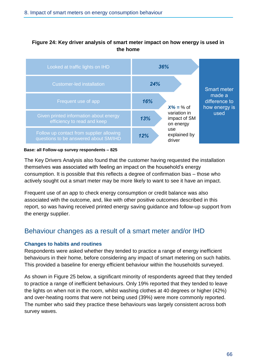## **Figure 24: Key driver analysis of smart meter impact on how energy is used in the home**



#### **Base: all Follow-up survey respondents – 825**

The Key Drivers Analysis also found that the customer having requested the installation themselves was associated with feeling an impact on the household's energy consumption. It is possible that this reflects a degree of confirmation bias – those who actively sought out a smart meter may be more likely to want to see it have an impact.

Frequent use of an app to check energy consumption or credit balance was also associated with the outcome, and, like with other positive outcomes described in this report, so was having received printed energy saving guidance and follow-up support from the energy supplier.

# Behaviour changes as a result of a smart meter and/or IHD

### **Changes to habits and routines**

Respondents were asked whether they tended to practice a range of energy inefficient behaviours in their home, before considering any impact of smart metering on such habits. This provided a baseline for energy efficient behaviour within the households surveyed.

As shown in Figure 25 below, a significant minority of respondents agreed that they tended to practice a range of inefficient behaviours. Only 19% reported that they tended to leave the lights on when not in the room, whilst washing clothes at 40 degrees or higher (42%) and over-heating rooms that were not being used (39%) were more commonly reported. The number who said they practice these behaviours was largely consistent across both survey waves.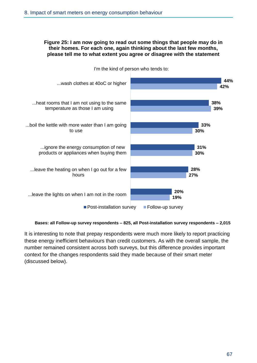#### **Figure 25: I am now going to read out some things that people may do in their homes. For each one, again thinking about the last few months, please tell me to what extent you agree or disagree with the statement**



I'm the kind of person who tends to:

#### **Bases: all Follow-up survey respondents – 825, all Post-installation survey respondents – 2,015**

It is interesting to note that prepay respondents were much more likely to report practicing these energy inefficient behaviours than credit customers. As with the overall sample, the number remained consistent across both surveys, but this difference provides important context for the changes respondents said they made because of their smart meter (discussed below).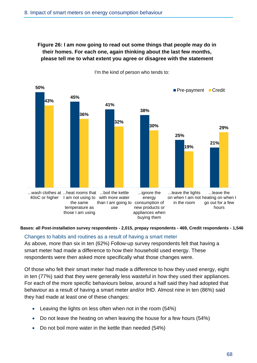# **Figure 26: I am now going to read out some things that people may do in their homes. For each one, again thinking about the last few months, please tell me to what extent you agree or disagree with the statement**



I'm the kind of person who tends to:

#### **Bases: all Post-installation survey respondents - 2,015, prepay respondents - 469, Credit respondents - 1,546**

### Changes to habits and routines as a result of having a smart meter

As above, more than six in ten (62%) Follow-up survey respondents felt that having a smart meter had made a difference to how their household used energy. These respondents were then asked more specifically what those changes were.

Of those who felt their smart meter had made a difference to how they used energy, eight in ten (77%) said that they were generally less wasteful in how they used their appliances. For each of the more specific behaviours below, around a half said they had adopted that behaviour as a result of having a smart meter and/or IHD. Almost nine in ten (86%) said they had made at least one of these changes:

- Leaving the lights on less often when not in the room (54%)
- Do not leave the heating on when leaving the house for a few hours (54%)
- Do not boil more water in the kettle than needed (54%)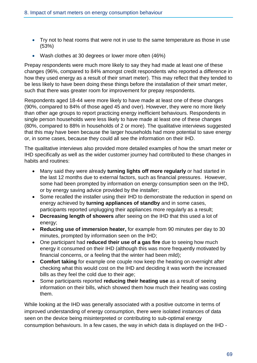- Try not to heat rooms that were not in use to the same temperature as those in use (53%)
- Wash clothes at 30 degrees or lower more often (46%)

Prepay respondents were much more likely to say they had made at least one of these changes (96%, compared to 84% amongst credit respondents who reported a difference in how they used energy as a result of their smart meter). This may reflect that they tended to be less likely to have been doing these things before the installation of their smart meter, such that there was greater room for improvement for prepay respondents.

Respondents aged 18-44 were more likely to have made at least one of these changes (90%, compared to 84% of those aged 45 and over). However, they were no more likely than other age groups to report practicing energy inefficient behaviours. Respondents in single person households were less likely to have made at least one of these changes (80%, compared to 88% in households of 2 or more). The qualitative interviews suggested that this may have been because the larger households had more potential to save energy or, in some cases, because they could all see the information on their IHD.

The qualitative interviews also provided more detailed examples of how the smart meter or IHD specifically as well as the wider customer journey had contributed to these changes in habits and routines:

- Many said they were already **turning lights off more regularly** or had started in the last 12 months due to external factors, such as financial pressures. However, some had been prompted by information on energy consumption seen on the IHD, or by energy saving advice provided by the installer;
- Some recalled the installer using their IHD to demonstrate the reduction in spend on energy achieved by **turning appliances of standby** and in some cases, participants reported unplugging their appliances more regularly as a result;
- **Decreasing length of showers** after seeing on the IHD that this used a lot of energy;
- **Reducing use of immersion heater,** for example from 90 minutes per day to 30 minutes, prompted by information seen on the IHD;
- One participant had **reduced their use of a gas fire** due to seeing how much energy it consumed on their IHD (although this was more frequently motivated by financial concerns, or a feeling that the winter had been mild);
- **Comfort taking** for example one couple now keep the heating on overnight after checking what this would cost on the IHD and deciding it was worth the increased bills as they feel the cold due to their age;
- Some participants reported **reducing their heating use** as a result of seeing information on their bills, which showed them how much their heating was costing them.

While looking at the IHD was generally associated with a positive outcome in terms of improved understanding of energy consumption, there were isolated instances of data seen on the device being misinterpreted or contributing to sub-optimal energy consumption behaviours. In a few cases, the way in which data is displayed on the IHD -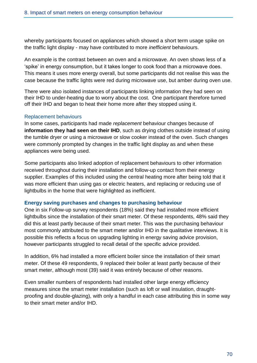whereby participants focused on appliances which showed a short term usage spike on the traffic light display - may have contributed to more *inefficient* behaviours.

An example is the contrast between an oven and a microwave. An oven shows less of a 'spike' in energy consumption, but it takes longer to cook food than a microwave does. This means it uses more energy overall, but some participants did not realise this was the case because the traffic lights were red during microwave use, but amber during oven use.

There were also isolated instances of participants linking information they had seen on their IHD to under-heating due to worry about the cost. One participant therefore turned off their IHD and began to heat their home more after they stopped using it.

## Replacement behaviours

In some cases, participants had made *replacement* behaviour changes because of **information they had seen on their IHD**, such as drying clothes outside instead of using the tumble dryer or using a microwave or slow cooker instead of the oven. Such changes were commonly prompted by changes in the traffic light display as and when these appliances were being used.

Some participants also linked adoption of replacement behaviours to other information received throughout during their installation and follow-up contact from their energy supplier. Examples of this included using the central heating more after being told that it was more efficient than using gas or electric heaters, and replacing or reducing use of lightbulbs in the home that were highlighted as inefficient.

## **Energy saving purchases and changes to purchasing behaviour**

One in six Follow-up survey respondents (18%) said they had installed more efficient lightbulbs since the installation of their smart meter. Of these respondents, 48% said they did this at least partly because of their smart meter. This was the purchasing behaviour most commonly attributed to the smart meter and/or IHD in the qualitative interviews. It is possible this reflects a focus on upgrading lighting in energy saving advice provision, however participants struggled to recall detail of the specific advice provided.

In addition, 6% had installed a more efficient boiler since the installation of their smart meter. Of these 49 respondents, 9 replaced their boiler at least partly because of their smart meter, although most (39) said it was entirely because of other reasons.

Even smaller numbers of respondents had installed other large energy efficiency measures since the smart meter installation (such as loft or wall insulation, draughtproofing and double-glazing), with only a handful in each case attributing this in some way to their smart meter and/or IHD.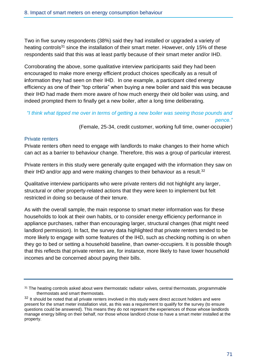Two in five survey respondents (38%) said they had installed or upgraded a variety of heating controls<sup>31</sup> since the installation of their smart meter. However, only 15% of these respondents said that this was at least partly because of their smart meter and/or IHD.

Corroborating the above, some qualitative interview participants said they had been encouraged to make more energy efficient product choices specifically as a result of **i**nformation they had seen on their IHD. In one example, a participant cited energy efficiency as one of their "top criteria" when buying a new boiler and said this was because their IHD had made them more aware of how much energy their old boiler was using, and indeed prompted them to finally get a new boiler, after a long time deliberating.

*"I think what tipped me over in terms of getting a new boiler was seeing those pounds and pence."*

(Female, 25-34, credit customer, working full time, owner-occupier)

### Private renters

Private renters often need to engage with landlords to make changes to their home which can act as a barrier to behaviour change. Therefore, this was a group of particular interest.

Private renters in this study were generally quite engaged with the information they saw on their IHD and/or app and were making changes to their behaviour as a result.<sup>32</sup>

Qualitative interview participants who were private renters did not highlight any larger, structural or other property-related actions that they were keen to implement but felt restricted in doing so because of their tenure.

As with the overall sample, the main response to smart meter information was for these households to look at their own habits, or to consider energy efficiency performance in appliance purchases, rather than encouraging larger, structural changes (that might need landlord permission). In fact, the survey data highlighted that private renters tended to be more likely to engage with some features of the IHD, such as checking nothing is on when they go to bed or setting a household baseline, than owner-occupiers. It is possible though that this reflects that private renters are, for instance, more likely to have lower household incomes and be concerned about paying their bills.

<sup>&</sup>lt;sup>31</sup> The heating controls asked about were thermostatic radiator valves, central thermostats, programmable thermostats and smart thermostats.

<sup>&</sup>lt;sup>32</sup> It should be noted that all private renters involved in this study were direct account holders and were present for the smart meter installation visit, as this was a requirement to qualify for the survey (to ensure questions could be answered). This means they do not represent the experiences of those whose landlords manage energy billing on their behalf, nor those whose landlord chose to have a smart meter installed at the property.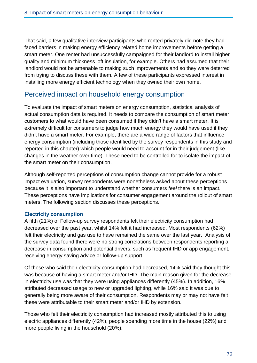That said, a few qualitative interview participants who rented privately did note they had faced barriers in making energy efficiency related home improvements before getting a smart meter. One renter had unsuccessfully campaigned for their landlord to install higher quality and minimum thickness loft insulation, for example. Others had assumed that their landlord would not be amenable to making such improvements and so they were deterred from trying to discuss these with them. A few of these participants expressed interest in installing more energy efficient technology when they owned their own home.

# Perceived impact on household energy consumption

To evaluate the impact of smart meters on energy consumption, statistical analysis of actual consumption data is required. It needs to compare the consumption of smart meter customers to what would have been consumed if they didn't have a smart meter. It is extremely difficult for consumers to judge how much energy they would have used if they didn't have a smart meter. For example, there are a wide range of factors that influence energy consumption (including those identified by the survey respondents in this study and reported in this chapter) which people would need to account for in their judgement (like changes in the weather over time). These need to be controlled for to isolate the impact of the smart meter on their consumption.

Although self-reported perceptions of consumption change cannot provide for a robust impact evaluation, survey respondents were nonetheless asked about these perceptions because it is also important to understand whether consumers *feel* there is an impact. These perceptions have implications for consumer engagement around the rollout of smart meters. The following section discusses these perceptions.

# **Electricity consumption**

A fifth (21%) of Follow-up survey respondents felt their electricity consumption had decreased over the past year, whilst 14% felt it had increased. Most respondents (62%) felt their electricity and gas use to have remained the same over the last year. Analysis of the survey data found there were no strong correlations between respondents reporting a decrease in consumption and potential drivers, such as frequent IHD or app engagement, receiving energy saving advice or follow-up support.

Of those who said their electricity consumption had decreased, 14% said they thought this was because of having a smart meter and/or IHD. The main reason given for the decrease in electricity use was that they were using appliances differently (45%). In addition, 16% attributed decreased usage to new or upgraded lighting, while 16% said it was due to generally being more aware of their consumption. Respondents may or may not have felt these were attributable to their smart meter and/or IHD by extension.

Those who felt their electricity consumption had increased mostly attributed this to using electric appliances differently (42%), people spending more time in the house (22%) and more people living in the household (20%).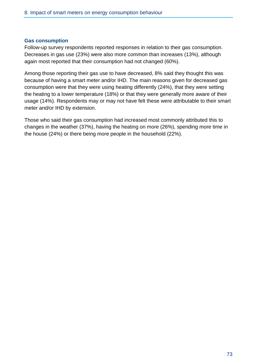#### **Gas consumption**

Follow-up survey respondents reported responses in relation to their gas consumption. Decreases in gas use (23%) were also more common than increases (13%), although again most reported that their consumption had not changed (60%).

Among those reporting their gas use to have decreased, 8% said they thought this was because of having a smart meter and/or IHD. The main reasons given for decreased gas consumption were that they were using heating differently (24%), that they were setting the heating to a lower temperature (18%) or that they were generally more aware of their usage (14%). Respondents may or may not have felt these were attributable to their smart meter and/or IHD by extension.

Those who said their gas consumption had increased most commonly attributed this to changes in the weather (37%), having the heating on more (26%), spending more time in the house (24%) or there being more people in the household (22%).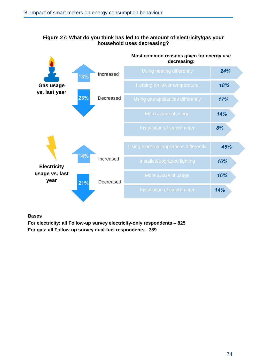# **Figure 27: What do you think has led to the amount of electricity/gas your household uses decreasing?**

|                                              | Most common reasons given for energy use<br>decreasing: |           |                                         |     |  |
|----------------------------------------------|---------------------------------------------------------|-----------|-----------------------------------------|-----|--|
| <b>Gas usage</b><br>vs. last year            | 13%                                                     | Increased | Using heating differently               | 24% |  |
|                                              |                                                         |           | Heating on lower temperature            | 18% |  |
|                                              | 23%                                                     | Decreased | Using gas appliances differently        | 17% |  |
|                                              |                                                         |           | More aware of usage                     | 14% |  |
|                                              |                                                         |           | Installation of smart meter             | 8%  |  |
| <b>Electricity</b><br>usage vs. last<br>year |                                                         |           | Using electrical appliances differently | 45% |  |
|                                              | 14%                                                     | Increased | Installed/upgraded lighting             | 16% |  |
|                                              | 21%                                                     | Decreased | More aware of usage                     | 16% |  |
|                                              |                                                         |           | Installation of smart meter             | 14% |  |
|                                              |                                                         |           |                                         |     |  |

**Bases**

**For electricity: all Follow-up survey electricity-only respondents – 825 For gas: all Follow-up survey dual-fuel respondents - 789**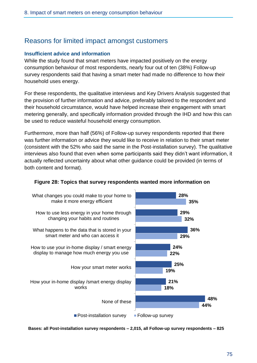# Reasons for limited impact amongst customers

#### **Insufficient advice and information**

While the study found that smart meters have impacted positively on the energy consumption behaviour of most respondents, nearly four out of ten (38%) Follow-up survey respondents said that having a smart meter had made no difference to how their household uses energy.

For these respondents, the qualitative interviews and Key Drivers Analysis suggested that the provision of further information and advice, preferably tailored to the respondent and their household circumstance, would have helped increase their engagement with smart metering generally, and specifically information provided through the IHD and how this can be used to reduce wasteful household energy consumption.

Furthermore, more than half (56%) of Follow-up survey respondents reported that there was further information or advice they would like to receive in relation to their smart meter (consistent with the 52% who said the same in the Post-installation survey). The qualitative interviews also found that even when some participants said they didn't want information, it actually reflected uncertainty about what other guidance could be provided (in terms of both content and format).



# **Figure 28: Topics that survey respondents wanted more information on**

**Bases: all Post-installation survey respondents – 2,015, all Follow-up survey respondents – 825**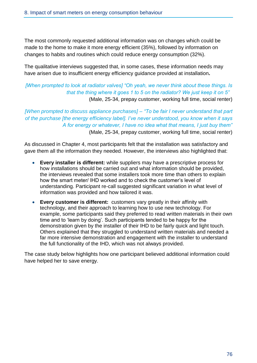The most commonly requested additional information was on changes which could be made to the home to make it more energy efficient (35%), followed by information on changes to habits and routines which could reduce energy consumption (32%).

The qualitative interviews suggested that, in some cases, these information needs may have arisen due to insufficient energy efficiency guidance provided at installation**.** 

# *[When prompted to look at radiator valves] "Oh yeah, we never think about these things. Is that the thing where it goes 1 to 5 on the radiator? We just keep it on 5"*  (Male, 25-34, prepay customer, working full time, social renter)

*[When prompted to discuss appliance purchases] – "To be fair I never understand that part of the purchase [the energy efficiency label]. I've never understood, you know when it says A for energy or whatever, I have no idea what that means, I just buy them"* (Male, 25-34, prepay customer, working full time, social renter)

As discussed in Chapter 4, most participants felt that the installation was satisfactory and gave them all the information they needed. However, the interviews also highlighted that:

- **Every installer is different:** while suppliers may have a prescriptive process for how installations should be carried out and what information should be provided, the interviews revealed that some installers took more time than others to explain how the smart meter/ IHD worked and to check the customer's level of understanding. Participant re-call suggested significant variation in what level of information was provided and how tailored it was.
- **Every customer is different:** customers vary greatly in their affinity with technology, and their approach to learning how to use new technology. For example, some participants said they preferred to read written materials in their own time and to 'learn by doing'. Such participants tended to be happy for the demonstration given by the installer of their IHD to be fairly quick and light touch. Others explained that they struggled to understand written materials and needed a far more intensive demonstration and engagement with the installer to understand the full functionality of the IHD, which was not always provided.

The case study below highlights how one participant believed additional information could have helped her to save energy.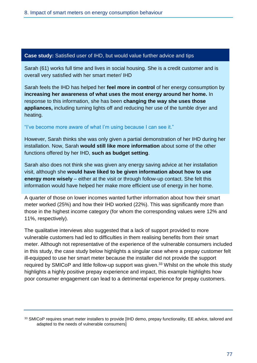#### **Case study:** Satisfied user of IHD, but would value further advice and tips

Sarah (61) works full time and lives in social housing. She is a credit customer and is overall very satisfied with her smart meter/ IHD

Sarah feels the IHD has helped her **feel more in control** of her energy consumption by **increasing her awareness of what uses the most energy around her home.** In response to this information, she has been **changing the way she uses those appliances,** including turning lights off and reducing her use of the tumble dryer and heating.

#### "I've become more aware of what I'm using because I can see it."

However, Sarah thinks she was only given a partial demonstration of her IHD during her installation. Now, Sarah **would still like more information** about some of the other functions offered by her IHD, **such as budget setting**.

Sarah also does not think she was given any energy saving advice at her installation visit, although she **would have liked to be given information about how to use energy more wisely** – either at the visit or through follow-up contact. She felt this information would have helped her make more efficient use of energy in her home.

A quarter of those on lower incomes wanted further information about how their smart meter worked (25%) and how their IHD worked (22%). This was significantly more than those in the highest income category (for whom the corresponding values were 12% and 11%, respectively).

The qualitative interviews also suggested that a lack of support provided to more vulnerable customers had led to difficulties in them realising benefits from their smart meter. Although not representative of the experience of the vulnerable consumers included in this study, the case study below highlights a singular case where a prepay customer felt ill-equipped to use her smart meter because the installer did not provide the support required by SMICoP and little follow-up support was given.<sup>33</sup> Whilst on the whole this study highlights a highly positive prepay experience and impact, this example highlights how poor consumer engagement can lead to a detrimental experience for prepay customers.

<sup>33</sup> SMICoP requires smart meter installers to provide [IHD demo, prepay functionality, EE advice, tailored and adapted to the needs of vulnerable consumers]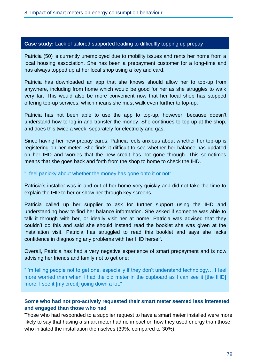#### **Case study:** Lack of tailored supported leading to difficultly topping up prepay

Patricia (50) is currently unemployed due to mobility issues and rents her home from a local housing association. She has been a prepayment customer for a long-time and has always topped up at her local shop using a key and card.

Patricia has downloaded an app that she knows should allow her to top-up from anywhere, including from home which would be good for her as she struggles to walk very far. This would also be more convenient now that her local shop has stopped offering top-up services, which means she must walk even further to top-up.

Patricia has not been able to use the app to top-up, however, because doesn't understand how to log in and transfer the money. She continues to top up at the shop, and does this twice a week, separately for electricity and gas.

Since having her new prepay cards, Patricia feels anxious about whether her top-up is registering on her meter. She finds it difficult to see whether her balance has updated on her IHD and worries that the new credit has not gone through. This sometimes means that she goes back and forth from the shop to home to check the IHD.

#### "I feel panicky about whether the money has gone onto it or not"

Patricia's installer was in and out of her home very quickly and did not take the time to explain the IHD to her or show her through key screens.

Patricia called up her supplier to ask for further support using the IHD and understanding how to find her balance information. She asked if someone was able to talk it through with her, or ideally visit her at home. Patricia was advised that they couldn't do this and said she should instead read the booklet she was given at the installation visit. Patricia has struggled to read this booklet and says she lacks confidence in diagnosing any problems with her IHD herself.

Overall, Patricia has had a very negative experience of smart prepayment and is now advising her friends and family not to get one:

"I'm telling people not to get one, especially if they don't understand technology… I feel more worried than when I had the old meter in the cupboard as I can see it [the IHD] more, I see it [my credit] going down a lot."

# **Some who had not pro-actively requested their smart meter seemed less interested and engaged than those who had**

Those who had responded to a supplier request to have a smart meter installed were more likely to say that having a smart meter had no impact on how they used energy than those who initiated the installation themselves (39%, compared to 30%).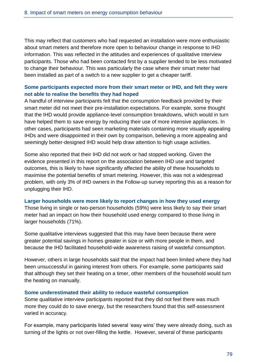This may reflect that customers who had requested an installation were more enthusiastic about smart meters and therefore more open to behaviour change in response to IHD information. This was reflected in the attitudes and experiences of qualitative interview participants. Those who had been contacted first by a supplier tended to be less motivated to change their behaviour. This was particularly the case where their smart meter had been installed as part of a switch to a new supplier to get a cheaper tariff.

# **Some participants expected more from their smart meter or IHD, and felt they were not able to realise the benefits they had hoped**

A handful of interview participants felt that the consumption feedback provided by their smart meter did not meet their pre-installation expectations. For example, some thought that the IHD would provide appliance-level consumption breakdowns, which would in turn have helped them to save energy by reducing their use of more intensive appliances. In other cases, participants had seen marketing materials containing more visually appealing IHDs and were disappointed in their own by comparison, believing a more appealing and seemingly better-designed IHD would help draw attention to high usage activities.

Some also reported that their IHD did not work or had stopped working. Given the evidence presented in this report on the association between IHD use and targeted outcomes, this is likely to have significantly affected the ability of these households to maximise the potential benefits of smart metering. However, this was not a widespread problem, with only 3% of IHD owners in the Follow-up survey reporting this as a reason for unplugging their IHD.

#### **Larger households were more likely to report changes in how they used energy**

Those living in single or two-person households (59%) were less likely to say their smart meter had an impact on how their household used energy compared to those living in larger households (71%).

Some qualitative interviews suggested that this may have been because there were greater potential savings in homes greater in size or with more people in them, and because the IHD facilitated household-wide awareness raising of wasteful consumption.

However, others in large households said that the impact had been limited where they had been unsuccessful in gaining interest from others. For example, some participants said that although they set their heating on a timer, other members of the household would turn the heating on manually.

#### **Some underestimated their ability to reduce wasteful consumption**

Some qualitative interview participants reported that they did not feel there was much more they could do to save energy, but the researchers found that this self-assessment varied in accuracy.

For example, many participants listed several 'easy wins' they were already doing, such as turning of the lights or not over-filling the kettle. However, several of these participants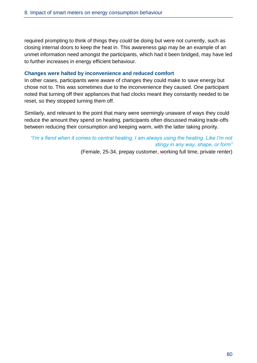required prompting to think of things they *could* be doing but were not currently, such as closing internal doors to keep the heat in. This awareness gap may be an example of an unmet information need amongst the participants, which had it been bridged, may have led to further increases in energy efficient behaviour.

#### **Changes were halted by inconvenience and reduced comfort**

In other cases, participants were aware of changes they could make to save energy but chose not to. This was sometimes due to the inconvenience they caused. One participant noted that turning off their appliances that had clocks meant they constantly needed to be reset, so they stopped turning them off.

Similarly, and relevant to the point that many were seemingly unaware of ways they could reduce the amount they spend on heating, participants often discussed making trade-offs between reducing their consumption and keeping warm, with the latter taking priority.

# *"I'm a fiend when it comes to central heating, I am always using the heating. Like I'm not stingy in any way, shape, or form"*

(Female, 25-34, prepay customer, working full time, private renter)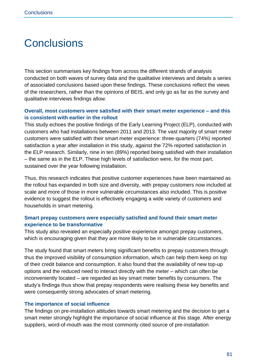# **Conclusions**

This section summarises key findings from across the different strands of analysis conducted on both waves of survey data and the qualitative interviews and details a series of associated conclusions based upon these findings. These conclusions reflect the views of the researchers, rather than the opinions of BEIS, and only go as far as the survey and qualitative interviews findings allow.

# **Overall, most customers were satisfied with their smart meter experience – and this is consistent with earlier in the rollout**

This study echoes the positive findings of the Early Learning Project (ELP), conducted with customers who had installations between 2011 and 2013. The vast majority of smart meter customers were satisfied with their smart meter experience: three-quarters (74%) reported satisfaction a year after installation in this study, against the 72% reported satisfaction in the ELP research. Similarly, nine in ten (89%) reported being satisfied with their installation – the same as in the ELP. These high levels of satisfaction were, for the most part, sustained over the year following installation.

Thus, this research indicates that positive customer experiences have been maintained as the rollout has expanded in both size and diversity, with prepay customers now included at scale and more of those in more vulnerable circumstances also included. This is positive evidence to suggest the rollout is effectively engaging a wide variety of customers and households in smart metering.

# **Smart prepay customers were especially satisfied and found their smart meter experience to be transformative**

This study also revealed an especially positive experience amongst prepay customers, which is encouraging given that they are more likely to be in vulnerable circumstances.

The study found that smart meters bring significant benefits to prepay customers through thus the improved visibility of consumption information, which can help them keep on top of their credit balance and consumption. It also found that the availability of new top-up options and the reduced need to interact directly with the meter – which can often be inconveniently located – are regarded as key smart meter benefits by consumers. The study's findings thus show that prepay respondents were realising these key benefits and were consequently strong advocates of smart metering.

# **The importance of social influence**

The findings on pre-installation attitudes towards smart metering and the decision to get a smart meter strongly highlight the importance of social influence at this stage. After energy suppliers, word-of-mouth was the most commonly cited source of pre-installation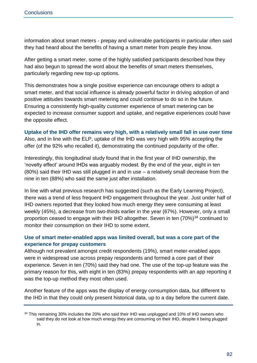information about smart meters - prepay and vulnerable participants in particular often said they had heard about the benefits of having a smart meter from people they know.

After getting a smart meter, some of the highly satisfied participants described how they had also begun to spread the word about the benefits of smart meters themselves, particularly regarding new top-up options.

This demonstrates how a single positive experience can encourage others to adopt a smart meter, and that social influence is already powerful factor in driving adoption of and positive attitudes towards smart metering and could continue to do so in the future. Ensuring a consistently high-quality customer experience of smart metering can be expected to increase consumer support and uptake, and negative experiences could have the opposite effect.

#### **Uptake of the IHD offer remains very high, with a relatively small fall in use over time**

Also, and in line with the ELP, uptake of the IHD was very high with 95% accepting the offer (of the 92% who recalled it), demonstrating the continued popularity of the offer.

Interestingly, this longitudinal study found that in the first year of IHD ownership, the 'novelty effect' around IHDs was arguably modest. By the end of the year, eight in ten (80%) said their IHD was still plugged in and in use – a relatively small decrease from the nine in ten (88%) who said the same just after installation.

In line with what previous research has suggested (such as the Early Learning Project), there was a trend of less frequent IHD engagement throughout the year. Just under half of IHD owners reported that they looked how much energy they were consuming at least weekly (45%), a decrease from two-thirds earlier in the year (67%). However, only a small proportion ceased to engage with their IHD altogether. Seven in ten  $(70\%)^{34}$  continued to monitor their consumption on their IHD to some extent.

# **Use of smart meter-enabled apps was limited overall, but was a core part of the experience for prepay customers**

Although not prevalent amongst credit respondents (19%), smart meter-enabled apps were in widespread use across prepay respondents and formed a core part of their experience. Seven in ten (70%) said they had one. The use of the top-up feature was the primary reason for this, with eight in ten (83%) prepay respondents with an app reporting it was the top-up method they most often used.

Another feature of the apps was the display of energy consumption data, but different to the IHD in that they could only present historical data, up to a day before the current date.

<sup>&</sup>lt;sup>34</sup> This remaining 30% includes the 20% who said their IHD was unplugged and 10% of IHD owners who said they do not look at how much energy they are consuming on their IHD, despite it being plugged in.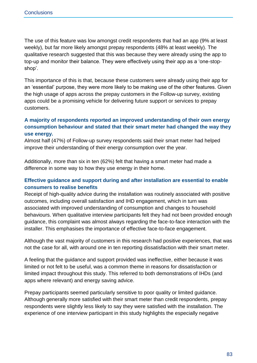The use of this feature was low amongst credit respondents that had an app (9% at least weekly), but far more likely amongst prepay respondents (48% at least weekly). The qualitative research suggested that this was because they were already using the app to top-up and monitor their balance. They were effectively using their app as a 'one-stopshop'.

This importance of this is that, because these customers were already using their app for an 'essential' purpose, they were more likely to be making use of the other features. Given the high usage of apps across the prepay customers in the Follow-up survey, existing apps could be a promising vehicle for delivering future support or services to prepay customers.

# **A majority of respondents reported an improved understanding of their own energy consumption behaviour and stated that their smart meter had changed the way they use energy.**

Almost half (47%) of Follow-up survey respondents said their smart meter had helped improve their understanding of their energy consumption over the year.

Additionally, more than six in ten (62%) felt that having a smart meter had made a difference in some way to how they use energy in their home.

# **Effective guidance and support during and after installation are essential to enable consumers to realise benefits**

Receipt of high-quality advice during the installation was routinely associated with positive outcomes, including overall satisfaction and IHD engagement, which in turn was associated with improved understanding of consumption and changes to household behaviours. When qualitative interview participants felt they had not been provided enough guidance, this complaint was almost always regarding the face-to-face interaction with the installer. This emphasises the importance of effective face-to-face engagement.

Although the vast majority of customers in this research had positive experiences, that was not the case for all, with around one in ten reporting dissatisfaction with their smart meter.

A feeling that the guidance and support provided was ineffective, either because it was limited or not felt to be useful, was a common theme in reasons for dissatisfaction or limited impact throughout this study. This referred to both demonstrations of IHDs (and apps where relevant) and energy saving advice.

Prepay participants seemed particularly sensitive to poor quality or limited guidance. Although generally more satisfied with their smart meter than credit respondents, prepay respondents were slightly less likely to say they were satisfied with the installation. The experience of one interview participant in this study highlights the especially negative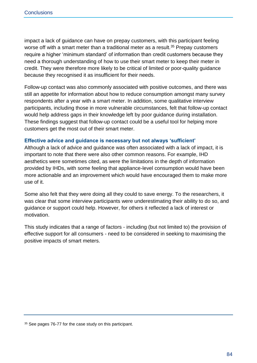impact a lack of guidance can have on prepay customers, with this participant feeling worse off with a smart meter than a traditional meter as a result.<sup>35</sup> Prepay customers require a higher 'minimum standard' of information than credit customers because they need a thorough understanding of how to use their smart meter to keep their meter in credit. They were therefore more likely to be critical of limited or poor-quality guidance because they recognised it as insufficient for their needs.

Follow-up contact was also commonly associated with positive outcomes, and there was still an appetite for information about how to reduce consumption amongst many survey respondents after a year with a smart meter. In addition, some qualitative interview participants, including those in more vulnerable circumstances, felt that follow-up contact would help address gaps in their knowledge left by poor guidance during installation. These findings suggest that follow-up contact could be a useful tool for helping more customers get the most out of their smart meter.

#### **Effective advice and guidance is necessary but not always 'sufficient'**

Although a lack of advice and guidance was often associated with a lack of impact, it is important to note that there were also other common reasons. For example, IHD aesthetics were sometimes cited, as were the limitations in the depth of information provided by IHDs, with some feeling that appliance-level consumption would have been more actionable and an improvement which would have encouraged them to make more use of it.

Some also felt that they were doing all they could to save energy. To the researchers, it was clear that some interview participants were underestimating their ability to do so, and guidance or support could help. However, for others it reflected a lack of interest or motivation.

This study indicates that a range of factors - including (but not limited to) the provision of effective support for all consumers - need to be considered in seeking to maximising the positive impacts of smart meters.

<sup>35</sup> See pages 76-77 for the case study on this participant.